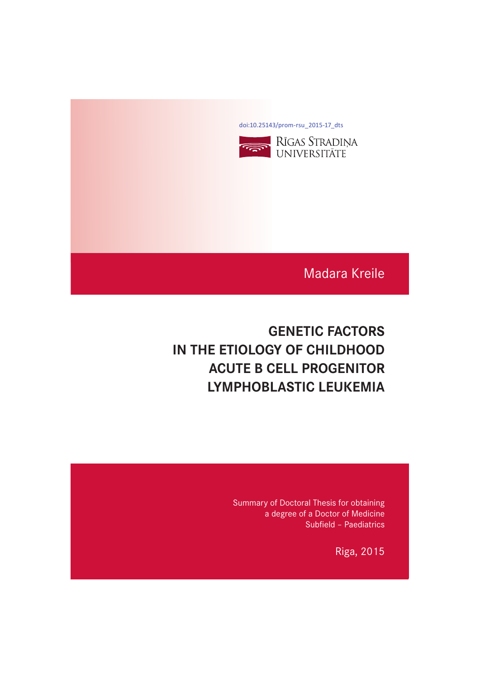[doi:10.25143/prom-rsu\\_2015-17\\_dts](https://doi.org/10.25143/prom-rsu_2015-17_dts)



Madara Kreile

# **GENETIC FACTORS IN THE ETIOLOGY OF CHILDHOOD IN THE EXECUTE B CELL PROGENITOR LYMPHOBLASTIC LEUKEMIA LYMPHOBLASTIC LEUKEMIA**

Summary of Doctoral Thesis for obtaining a degree of a Doctor of Medicine Subfield – Paediatrics

Riga, 2015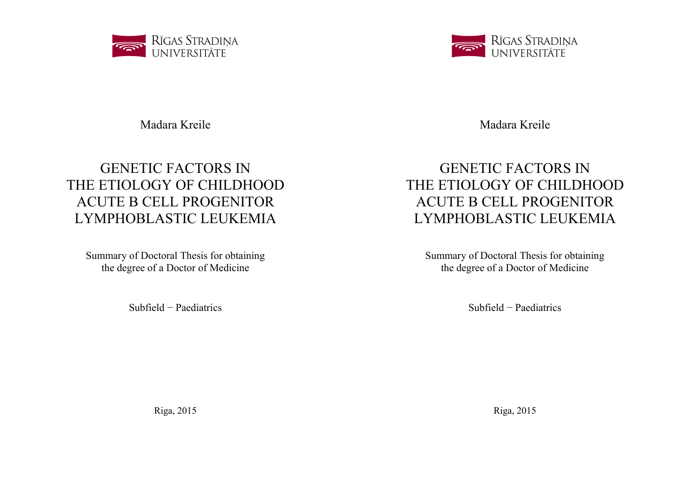

Madara Kreile

# GENETIC FACTORS IN THE ETIOLOGY OF CHILDHOOD ACUTE B CELL PROGENITOR LYMPHOBLASTIC LEUKEMIA

Summary of Doctoral Thesis for obtaining the degree of a Doctor of Medicine

Subfield − Paediatrics

Riga, 2015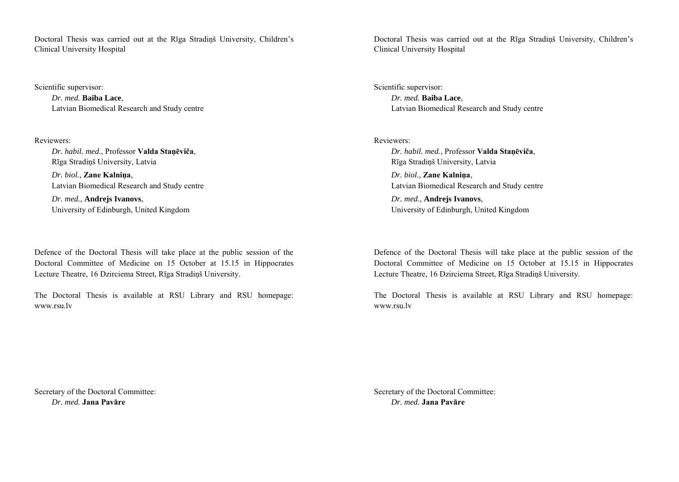Doctoral Thesis was carried out at the Rīga Stradiņš University, Children's Clinical University Hospital

Scientific supervisor:

*Dr. med.* **Baiba Lace**, Latvian Biomedical Research and Study centre

Reviewers:

*Dr. habil. med.*, Professor **Valda Staņēviča**, Rīga Stradiņš University, Latvia *Dr. biol.,* **Zane Kalniņa**, Latvian Biomedical Research and Study centre *Dr. med.,* **Andrejs Ivanovs**, University of Edinburgh, United Kingdom

Defence of the Doctoral Thesis will take place at the public session of the Doctoral Committee of Medicine on 15 October at 15.15 in Hippocrates Lecture Theatre, 16 Dzirciema Street, Rīga Stradiņš University.

The Doctoral Thesis is available at RSU Library and RSU homepage: www.rsu.lv

Secretary of the Doctoral Committee: *Dr. med.* **Jana Pavāre**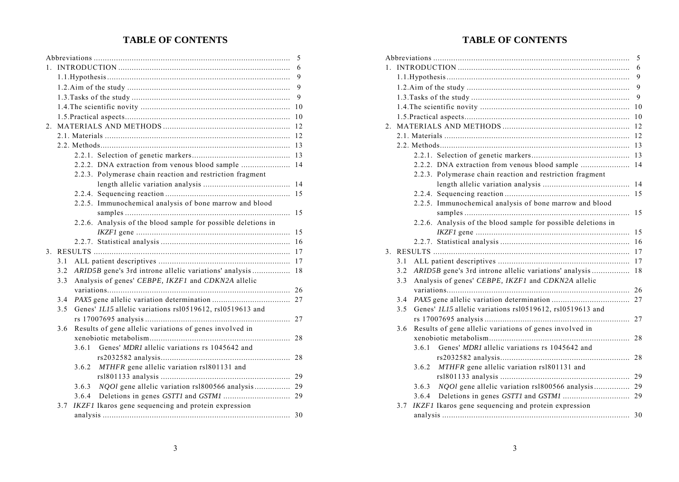# **TABLE OF CONTENTS**

|                |     |       |                                                               | 5   |
|----------------|-----|-------|---------------------------------------------------------------|-----|
|                |     |       |                                                               | 6   |
|                |     |       |                                                               | 9   |
|                |     |       |                                                               | 9   |
|                |     |       |                                                               | 9   |
|                |     |       |                                                               | 10  |
|                |     |       |                                                               | 10  |
| 2.             |     |       |                                                               | 12  |
|                |     |       |                                                               | 12  |
|                |     |       |                                                               | 13  |
|                |     |       |                                                               | 13  |
|                |     |       | 2.2.2. DNA extraction from venous blood sample                | 14  |
|                |     |       | 2.2.3. Polymerase chain reaction and restriction fragment     |     |
|                |     |       |                                                               | 14  |
|                |     |       |                                                               | 1.5 |
|                |     |       | 2.2.5. Immunochemical analysis of bone marrow and blood       |     |
|                |     |       |                                                               | 1.5 |
|                |     |       | 2.2.6. Analysis of the blood sample for possible deletions in |     |
|                |     |       |                                                               | 15  |
|                |     |       |                                                               |     |
| 3 <sub>1</sub> |     |       |                                                               |     |
|                | 3.1 |       |                                                               | 17  |
|                | 3.2 |       | ARID5B gene's 3rd introne allelic variations' analysis        | 18  |
|                | 3.3 |       | Analysis of genes' CEBPE, IKZF1 and CDKN2A allelic            |     |
|                |     |       |                                                               |     |
|                | 3.4 |       |                                                               |     |
|                | 3.5 |       | Genes' ILI5 allelic variations rsl0519612, rsl0519613 and     |     |
|                |     |       |                                                               |     |
|                | 3.6 |       | Results of gene allelic variations of genes involved in       |     |
|                |     |       |                                                               | 28  |
|                |     | 3.6.1 | Genes' MDRI allelic variations rs 1045642 and                 |     |
|                |     |       |                                                               |     |
|                |     | 3.6.2 | MTHFR gene allelic variation rsl801131 and                    |     |
|                |     |       |                                                               |     |
|                |     | 3.6.3 |                                                               |     |
|                |     | 3.6.4 |                                                               |     |
|                | 3.7 |       | IKZF1 Ikaros gene sequencing and protein expression           |     |
|                |     |       |                                                               | 30  |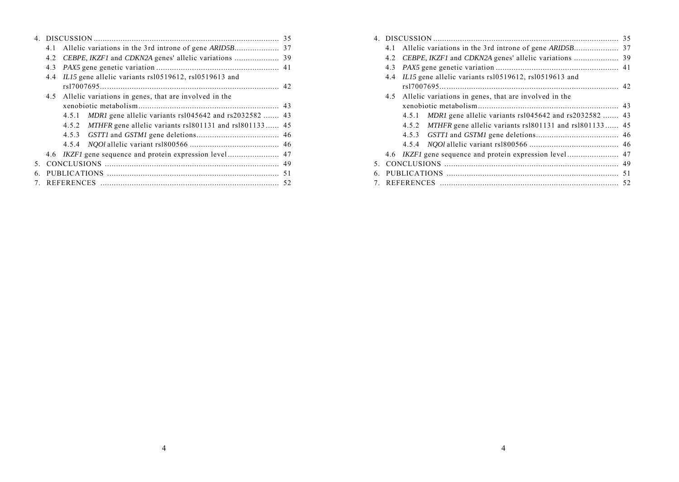|             |     |                                                              | 35 |
|-------------|-----|--------------------------------------------------------------|----|
|             | 4.1 |                                                              |    |
|             | 4.2 |                                                              |    |
|             | 4.3 |                                                              |    |
|             | 4.4 | ILI5 gene allelic variants rs10519612, rs10519613 and        |    |
|             |     | $rs17007695$ 42                                              |    |
|             | 4.5 | Allelic variations in genes, that are involved in the        |    |
|             |     |                                                              |    |
|             |     | 4.5.1 MDR1 gene allelic variants rs1045642 and rs2032582  43 |    |
|             |     | 4.5.2 MTHFR gene allelic variants rsl801131 and rsl801133 45 |    |
|             |     |                                                              |    |
|             |     |                                                              |    |
|             |     |                                                              |    |
| 5.          |     |                                                              |    |
| 6.          |     |                                                              |    |
| $7^{\circ}$ |     |                                                              |    |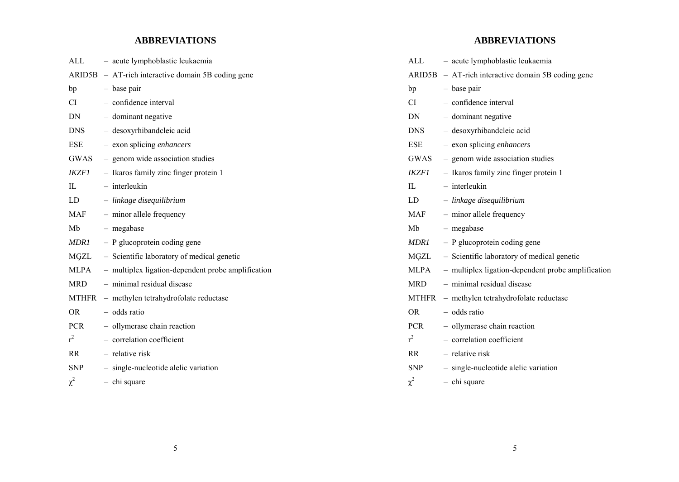# **ABBREVIATIONS**

| ALL         | - acute lymphoblastic leukaemia                       |
|-------------|-------------------------------------------------------|
|             | $ARID5B - AT$ -rich interactive domain 5B coding gene |
| bp          | - base pair                                           |
| CI.         | - confidence interval                                 |
| DN          | - dominant negative                                   |
| <b>DNS</b>  | - desoxyrhibandcleic acid                             |
| ESE         | - exon splicing enhancers                             |
| GWAS        | - genom wide association studies                      |
| IKZF1       | - Ikaros family zinc finger protein 1                 |
| $\Pi$ .     | - interleukin                                         |
| LD          | - linkage disequilibrium                              |
| <b>MAF</b>  | - minor allele frequency                              |
| Mb          | - megabase                                            |
| MDR1        | - P glucoprotein coding gene                          |
| MGZL        | - Scientific laboratory of medical genetic            |
| <b>MLPA</b> | - multiplex ligation-dependent probe amplification    |
| MRD         | - minimal residual disease                            |
| MTHFR       | - methylen tetrahydrofolate reductase                 |
| <b>OR</b>   | - odds ratio                                          |
| <b>PCR</b>  | - ollymerase chain reaction                           |
| $r^2$       | - correlation coefficient                             |
| <b>RR</b>   | - relative risk                                       |
| <b>SNP</b>  | - single-nucleotide alelic variation                  |
| $\chi^2$    | $-$ chi square                                        |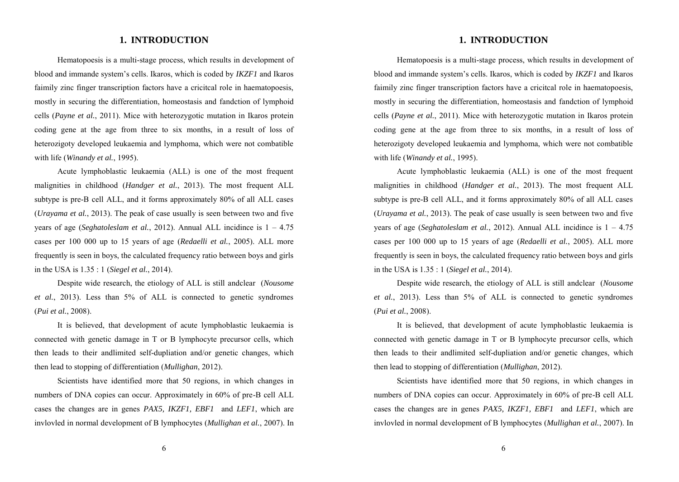# **1. INTRODUCTION**

Hematopoesis is a multi-stage process, which results in development of blood and immande system's cells. Ikaros, which is coded by *IKZF1* and Ikaros faimily zinc finger transcription factors have a cricitcal role in haematopoesis, mostly in securing the differentiation, homeostasis and fandction of lymphoid cells (*Payne et al.*, 2011). Mice with heterozygotic mutation in Ikaros protein coding gene at the age from three to six months, in a result of loss of heterozigoty developed leukaemia and lymphoma, which were not combatible with life (*Winandy et al.*, 1995).

Acute lymphoblastic leukaemia (ALL) is one of the most frequent malignities in childhood (*Handger et al.*, 2013). The most frequent ALL subtype is pre-B cell ALL, and it forms approximately 80% of all ALL cases (*Urayama et al.*, 2013). The peak of case usually is seen between two and five years of age (*Seghatoleslam et al.*, 2012). Annual ALL incidince is 1 – 4.75 cases per 100 000 up to 15 years of age (*Redaelli et al.*, 2005). ALL more frequently is seen in boys, the calculated frequency ratio between boys and girls in the USA is 1.35 : 1 (*Siegel et al.*, 2014).

Despite wide research, the etiology of ALL is still andclear (*Nousome et al.*, 2013). Less than 5% of ALL is connected to genetic syndromes (*Pui et al.*, 2008).

It is believed, that development of acute lymphoblastic leukaemia is connected with genetic damage in T or B lymphocyte precursor cells, which then leads to their andlimited self-dupliation and/or genetic changes, which then lead to stopping of differentiation (*Mullighan*, 2012).

Scientists have identified more that 50 regions, in which changes in numbers of DNA copies can occur. Approximately in 60% of pre-B cell ALL cases the changes are in genes *PAX5, IKZF1, EBF1* and *LEF1*, which are invlovled in normal development of B lymphocytes (*Mullighan et al.*, 2007). In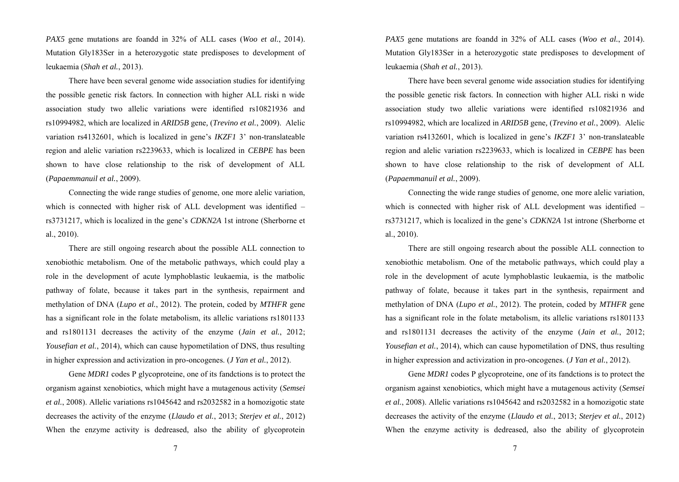*PAX5* gene mutations are foandd in 32% of ALL cases (*Woo et al.*, 2014). Mutation Gly183Ser in a heterozygotic state predisposes to development of leukaemia (*Shah et al.*, 2013).

There have been several genome wide association studies for identifying the possible genetic risk factors. In connection with higher ALL riski n wide association study two allelic variations were identified rs10821936 and rs10994982, which are localized in *ARID5B* gene*,* (*Trevino et al.*, 2009). Alelic variation rs4132601, which is localized in gene's *IKZF1* 3' non-translateable region and alelic variation rs2239633, which is localized in *CEBPE* has been shown to have close relationship to the risk of development of ALL (*Papaemmanuil et al.*, 2009).

Connecting the wide range studies of genome, one more alelic variation, which is connected with higher risk of ALL development was identified – rs3731217, which is localized in the gene's *CDKN2A* 1st introne (Sherborne et al., 2010).

There are still ongoing research about the possible ALL connection to xenobiothic metabolism. One of the metabolic pathways, which could play a role in the development of acute lymphoblastic leukaemia, is the matbolic pathway of folate, because it takes part in the synthesis, repairment and methylation of DNA (*Lupo et al.*, 2012). The protein, coded by *MTHFR* gene has a significant role in the folate metabolism, its allelic variations rs1801133 and rs1801131 decreases the activity of the enzyme (*Jain et al.*, 2012; *Yousefian et al.*, 2014), which can cause hypometilation of DNS, thus resulting in higher expression and activization in pro-oncogenes. (*J Yan et al.*, 2012).

Gene *MDR1* codes P glycoproteine, one of its fandctions is to protect the organism against xenobiotics, which might have a mutagenous activity (*Semsei et al.*, 2008). Allelic variations rs1045642 and rs2032582 in a homozigotic state decreases the activity of the enzyme (*Llaudo et al.*, 2013; *Sterjev et al.*, 2012) When the enzyme activity is dedreased, also the ability of glycoprotein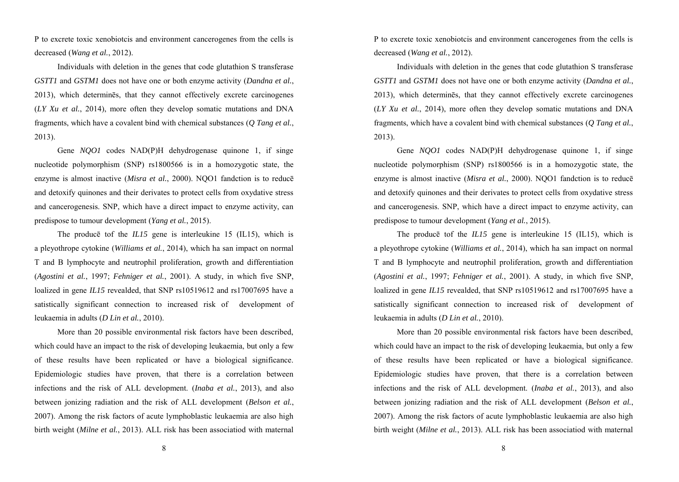P to excrete toxic xenobiotcis and environment cancerogenes from the cells is decreased (*Wang et al.*, 2012).

Individuals with deletion in the genes that code glutathion S transferase *GSTT1* and *GSTM1* does not have one or both enzyme activity (*Dandna et al.*, 2013), which determinēs, that they cannot effectively excrete carcinogenes (*LY Xu et al.*, 2014), more often they develop somatic mutations and DNA fragments, which have a covalent bind with chemical substances (*Q Tang et al.*, 2013).

Gene *NQO1* codes NAD(P)H dehydrogenase quinone 1, if singe nucleotide polymorphism (SNP) rs1800566 is in a homozygotic state, the enzyme is almost inactive (*Misra et al.*, 2000). NQO1 fandction is to reducē and detoxify quinones and their derivates to protect cells from oxydative stress and cancerogenesis. SNP, which have a direct impact to enzyme activity, can predispose to tumour development (*Yang et al.*, 2015).

The producē tof the *IL15* gene is interleukine 15 (IL15), which is a pleyothrope cytokine (*Williams et al.*, 2014), which ha san impact on normal T and B lymphocyte and neutrophil proliferation, growth and differentiation (*Agostini et al.*, 1997; *Fehniger et al.*, 2001). A study, in which five SNP, loalized in gene *IL15* revealded, that SNP rs10519612 and rs17007695 have a satistically significant connection to increased risk of development of leukaemia in adults (*D Lin et al.*, 2010).

More than 20 possible environmental risk factors have been described, which could have an impact to the risk of developing leukaemia, but only a few of these results have been replicated or have a biological significance. Epidemiologic studies have proven, that there is a correlation between infections and the risk of ALL development. (*Inaba et al.*, 2013), and also between jonizing radiation and the risk of ALL development (*Belson et al.*, 2007). Among the risk factors of acute lymphoblastic leukaemia are also high birth weight (*Milne et al.*, 2013). ALL risk has been associatiod with maternal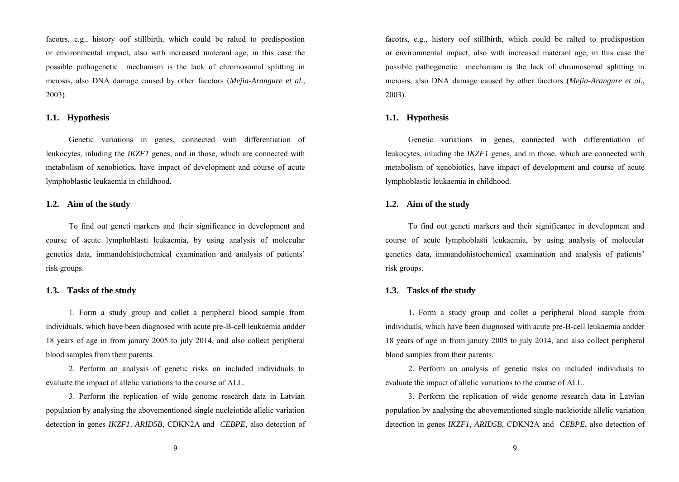facotrs, e.g., history oof stillbirth, which could be ralted to predispostion or environmental impact, also with increased materanl age, in this case the possible pathogenetic mechanism is the lack of chromosomal splitting in meiosis, also DNA damage caused by other facctors (*Mejia-Arangure et al.*, 2003).

#### **1.1. Hypothesis**

Genetic variations in genes, connected with differentiation of leukocytes, inluding the *IKZF1* genes, and in those, which are connected with metabolism of xenobiotics, have impact of development and course of acute lymphoblastic leukaemia in childhood.

## **1.2. Aim of the study**

To find out geneti markers and their significance in development and course of acute lymphoblasti leukaemia, by using analysis of molecular genetics data, immandohistochemical examination and analysis of patients' risk groups.

## **1.3. Tasks of the study**

1. Form a study group and collet a peripheral blood sample from individuals, which have been diagnosed with acute pre-B-cell leukaemia andder 18 years of age in from janury 2005 to july 2014, and also collect peripheral blood samples from their parents.

2. Perform an analysis of genetic risks on included individuals to evaluate the impact of allelic variations to the course of ALL.

3. Perform the replication of wide genome research data in Latvian population by analysing the abovementioned single nucleiotide allelic variation detection in genes *IKZF1, ARID5B,* CDKN2A and *CEBPE*, also detection of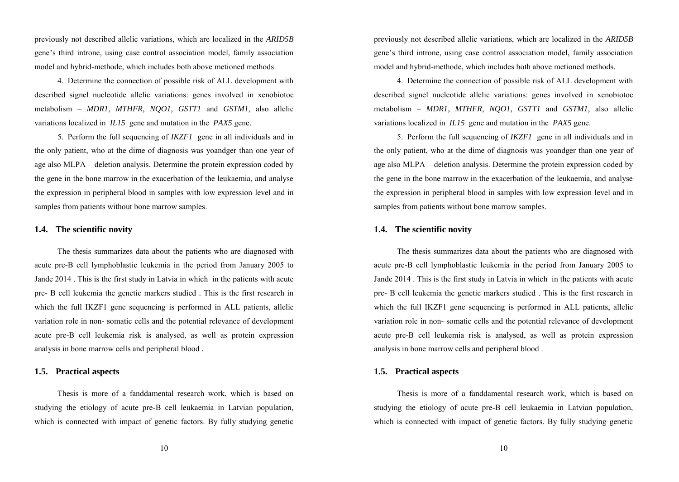previously not described allelic variations, which are localized in the *ARID5B* gene's third introne, using case control association model, family association model and hybrid-methode, which includes both above metioned methods.

4. Determine the connection of possible risk of ALL development with described signel nucleotide allelic variations: genes involved in xenobiotoc metabolism – *MDR1*, *MTHFR*, *NQO1*, *GSTT1* and *GSTM1*, also allelic variations localized in *IL15* gene and mutation in the *PAX5* gene.

5. Perform the full sequencing of *IKZF1* gene in all individuals and in the only patient, who at the dime of diagnosis was yoandger than one year of age also MLPA – deletion analysis. Determine the protein expression coded by the gene in the bone marrow in the exacerbation of the leukaemia, and analyse the expression in peripheral blood in samples with low expression level and in samples from patients without bone marrow samples.

## **1.4. The scientific novity**

The thesis summarizes data about the patients who are diagnosed with acute pre-B cell lymphoblastic leukemia in the period from January 2005 to Jande 2014 . This is the first study in Latvia in which in the patients with acute pre- B cell leukemia the genetic markers studied . This is the first research in which the full IKZF1 gene sequencing is performed in ALL patients, allelic variation role in non- somatic cells and the potential relevance of development acute pre-B cell leukemia risk is analysed, as well as protein expression analysis in bone marrow cells and peripheral blood .

## **1.5. Practical aspects**

Thesis is more of a fanddamental research work, which is based on studying the etiology of acute pre-B cell leukaemia in Latvian population, which is connected with impact of genetic factors. By fully studying genetic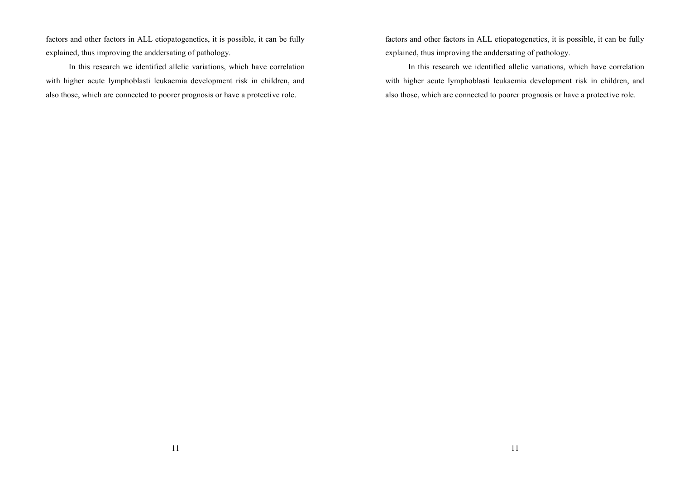factors and other factors in ALL etiopatogenetics, it is possible, it can be fully explained, thus improving the anddersating of pathology.

In this research we identified allelic variations, which have correlation with higher acute lymphoblasti leukaemia development risk in children, and also those, which are connected to poorer prognosis or have a protective role.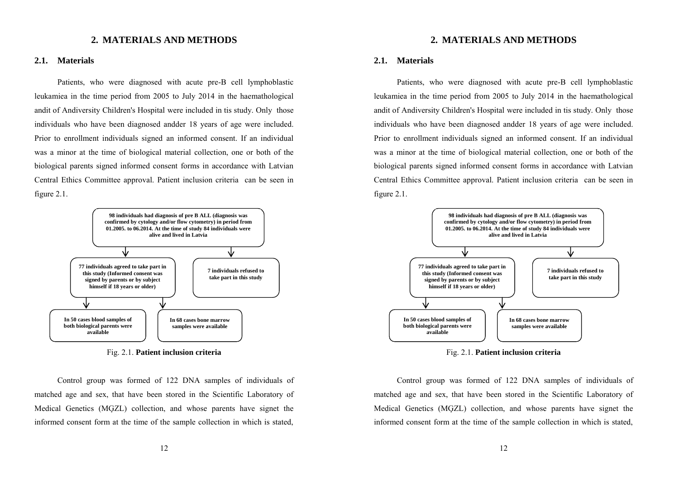# **2. MATERIALS AND METHODS**

#### **2.1. Materials**

Patients, who were diagnosed with acute pre-B cell lymphoblastic leukamiea in the time period from 2005 to July 2014 in the haemathological andit of Andiversity Children's Hospital were included in tis study. Only those individuals who have been diagnosed andder 18 years of age were included. Prior to enrollment individuals signed an informed consent. If an individual was a minor at the time of biological material collection, one or both of the biological parents signed informed consent forms in accordance with Latvian Central Ethics Committee approval. Patient inclusion criteria can be seen in figure 2.1.



Fig. 2.1. **Patient inclusion criteria**

Control group was formed of 122 DNA samples of individuals of matched age and sex, that have been stored in the Scientific Laboratory of Medical Genetics (MĢZL) collection, and whose parents have signet the informed consent form at the time of the sample collection in which is stated,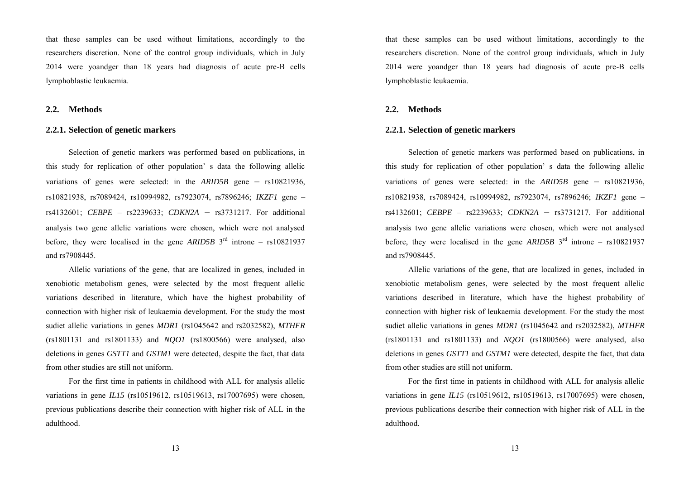that these samples can be used without limitations, accordingly to the researchers discretion. None of the control group individuals, which in July 2014 were yoandger than 18 years had diagnosis of acute pre-B cells lymphoblastic leukaemia.

## **2.2. Methods**

#### **2.2.1. Selection of genetic markers**

Selection of genetic markers was performed based on publications, in this study for replication of other population' s data the following allelic variations of genes were selected: in the *ARID5B* gene – rs10821936, rs10821938, rs7089424, rs10994982, rs7923074, rs7896246; *IKZF1* gene – rs4132601; *CEBPE –* rs2239633; *CDKN2A* – rs3731217. For additional analysis two gene allelic variations were chosen, which were not analysed before, they were localised in the gene *ARID5B* 3<sup>rd</sup> introne – rs10821937 and rs7908445.

Allelic variations of the gene, that are localized in genes, included in xenobiotic metabolism genes, were selected by the most frequent allelic variations described in literature, which have the highest probability of connection with higher risk of leukaemia development. For the study the most sudiet allelic variations in genes *MDR1* (rs1045642 and rs2032582), *MTHFR*  (rs1801131 and rs1801133) and *NQO1* (rs1800566) were analysed, also deletions in genes *GSTT1* and *GSTM1* were detected, despite the fact, that data from other studies are still not uniform.

For the first time in patients in childhood with ALL for analysis allelic variations in gene *IL15* (rs10519612, rs10519613, rs17007695) were chosen*,*  previous publications describe their connection with higher risk of ALL in the adulthood.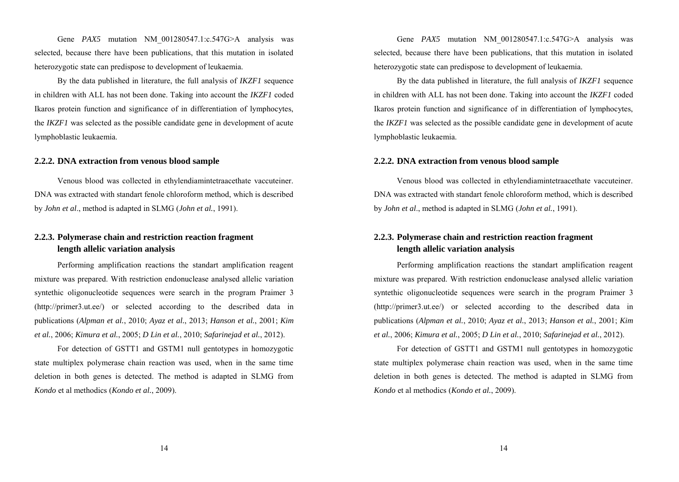Gene *PAX5* mutation NM 001280547.1:c.547G>A analysis was selected, because there have been publications, that this mutation in isolated heterozygotic state can predispose to development of leukaemia.

By the data published in literature, the full analysis of *IKZF1* sequence in children with ALL has not been done. Taking into account the *IKZF1* coded Ikaros protein function and significance of in differentiation of lymphocytes, the *IKZF1* was selected as the possible candidate gene in development of acute lymphoblastic leukaemia.

#### **2.2.2. DNA extraction from venous blood sample**

Venous blood was collected in ethylendiamintetraacethate vaccuteiner. DNA was extracted with standart fenole chloroform method, which is described by *John et al*., method is adapted in SLMG (*John et al.*, 1991).

# **2.2.3. Polymerase chain and restriction reaction fragment length allelic variation analysis**

Performing amplification reactions the standart amplification reagent mixture was prepared. With restriction endonuclease analysed allelic variation syntethic oligonucleotide sequences were search in the program Praimer 3 (http://primer3.ut.ee/) or selected according to the described data in publications (*Alpman et al.*, 2010; *Ayaz et al.*, 2013; *Hanson et al.*, 2001; *Kim et al.*, 2006; *Kimura et al.*, 2005; *D Lin et al.*, 2010; *Safarinejad et al.*, 2012).

For detection of GSTT1 and GSTM1 null gentotypes in homozygotic state multiplex polymerase chain reaction was used, when in the same time deletion in both genes is detected. The method is adapted in SLMG from *Kondo* et al methodics (*Kondo et al.*, 2009).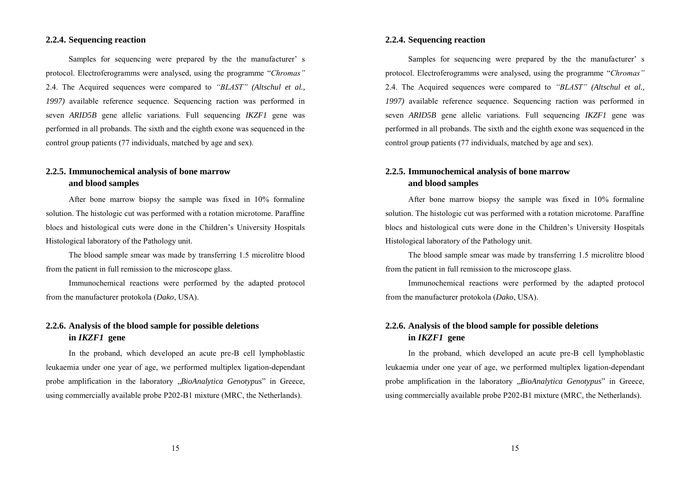## **2.2.4. Sequencing reaction**

Samples for sequencing were prepared by the the manufacturer' s protocol. Electroferogramms were analysed, using the programme "*Chromas"* 2.4. The Acquired sequences were compared to *"BLAST" (Altschul et al., 1997)* available reference sequence. Sequencing raction was performed in seven *ARID5B* gene allelic variations. Full sequencing *IKZF1* gene was performed in all probands. The sixth and the eighth exone was sequenced in the control group patients (77 individuals, matched by age and sex).

# **2.2.5. Immunochemical analysis of bone marrow and blood samples**

After bone marrow biopsy the sample was fixed in 10% formaline solution. The histologic cut was performed with a rotation microtome. Paraffine blocs and histological cuts were done in the Children's University Hospitals Histological laboratory of the Pathology unit.

The blood sample smear was made by transferring 1.5 microlitre blood from the patient in full remission to the microscope glass.

Immunochemical reactions were performed by the adapted protocol from the manufacturer protokola (*Dako*, USA).

# **2.2.6. Analysis of the blood sample for possible deletions in** *IKZF1* **gene**

In the proband, which developed an acute pre-B cell lymphoblastic leukaemia under one year of age, we performed multiplex ligation-dependant probe amplification in the laboratory *"BioAnalytica Genotypus*" in Greece, using commercially available probe P202-B1 mixture (MRC, the Netherlands).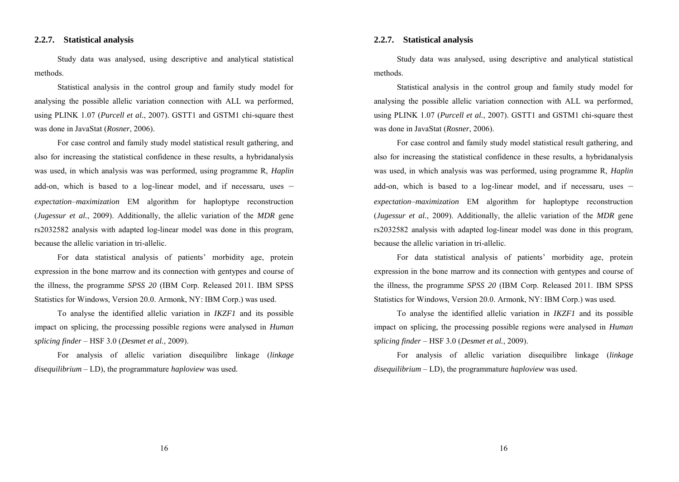## **2.2.7. Statistical analysis**

Study data was analysed, using descriptive and analytical statistical methods.

Statistical analysis in the control group and family study model for analysing the possible allelic variation connection with ALL wa performed, using PLINK 1.07 (*Purcell et al.*, 2007). GSTT1 and GSTM1 chi-square thest was done in JavaStat (*Rosner*, 2006).

For case control and family study model statistical result gathering, and also for increasing the statistical confidence in these results, a hybridanalysis was used, in which analysis was was performed, using programme R, *Haplin*  add-on, which is based to a log-linear model, and if necessaru, uses – *expectation–maximization* EM algorithm for haploptype reconstruction (*Jugessur et al.*, 2009). Additionally, the allelic variation of the *MDR* gene rs2032582 analysis with adapted log-linear model was done in this program, because the allelic variation in tri-allelic.

For data statistical analysis of patients' morbidity age, protein expression in the bone marrow and its connection with gentypes and course of the illness, the programme *SPSS 20* (IBM Corp. Released 2011. IBM SPSS Statistics for Windows, Version 20.0. Armonk, NY: IBM Corp.) was used.

To analyse the identified allelic variation in *IKZF1* and its possible impact on splicing, the processing possible regions were analysed in *Human splicing finder –* HSF 3.0 (*Desmet et al.*, 2009).

For analysis of allelic variation disequilibre linkage (*linkage disequilibrium –* LD), the programmature *haploview* was used*.*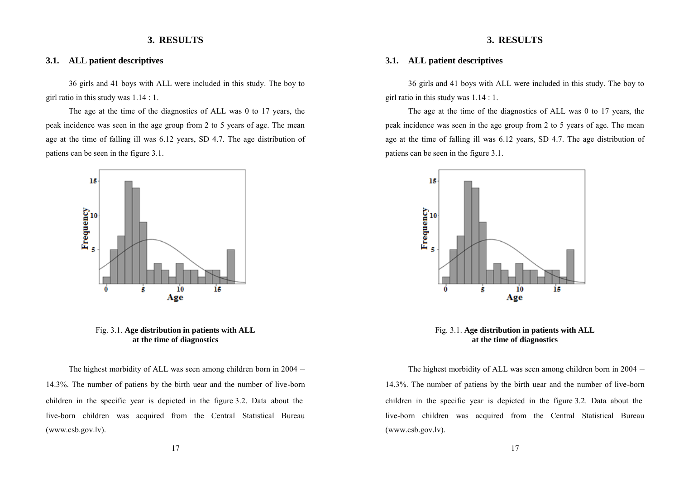## **3. RESULTS**

## **3.1. ALL patient descriptives**

36 girls and 41 boys with ALL were included in this study. The boy to girl ratio in this study was 1.14 : 1.

The age at the time of the diagnostics of ALL was 0 to 17 years, the peak incidence was seen in the age group from 2 to 5 years of age. The mean age at the time of falling ill was 6.12 years, SD 4.7. The age distribution of patiens can be seen in the figure 3.1.



Fig. 3.1. **Age distribution in patients with ALL at the time of diagnostics** 

The highest morbidity of ALL was seen among children born in 2004 – 14.3%. The number of patiens by the birth uear and the number of live-born children in the specific year is depicted in the figure 3.2. Data about the live-born children was acquired from the Central Statistical Bureau (www.csb.gov.lv).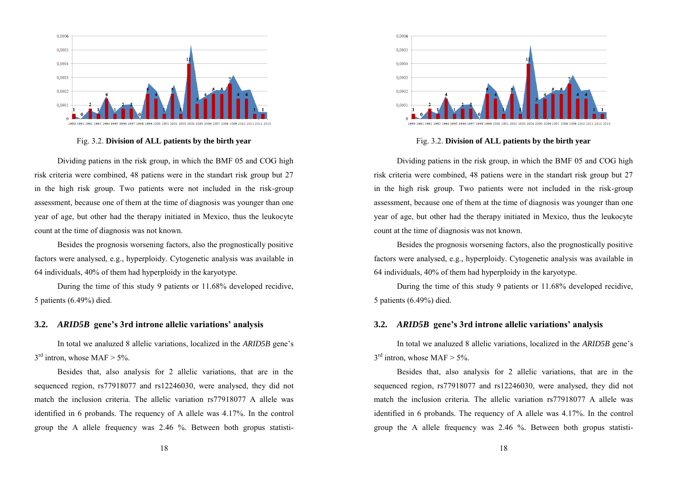

Fig. 3.2. **Division of ALL patients by the birth year** 

Dividing patiens in the risk group, in which the BMF 05 and COG high risk criteria were combined, 48 patiens were in the standart risk group but 27 in the high risk group. Two patients were not included in the risk-group assessment, because one of them at the time of diagnosis was younger than one year of age, but other had the therapy initiated in Mexico, thus the leukocyte count at the time of diagnosis was not known.

Besides the prognosis worsening factors, also the prognostically positive factors were analysed, e.g., hyperploidy. Cytogenetic analysis was available in 64 individuals, 40% of them had hyperploidy in the karyotype.

During the time of this study 9 patients or 11.68% developed recidive, 5 patients (6.49%) died.

## **3.2.** *ARID5B* **gene's 3rd introne allelic variations' analysis**

In total we analuzed 8 allelic variations, localized in the *ARID5B* gene's  $3<sup>rd</sup>$  intron, whose MAF > 5%.

Besides that, also analysis for 2 allelic variations, that are in the sequenced region, rs77918077 and rs12246030, were analysed, they did not match the inclusion criteria. The allelic variation rs77918077 A allele was identified in 6 probands. The requency of A allele was 4.17%. In the control group the A allele frequency was  $2.46\%$ . Between both gropus statisti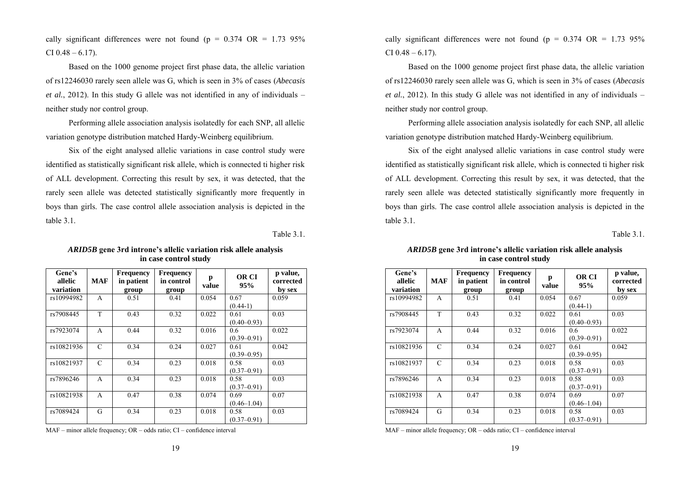cally significant differences were not found ( $p = 0.374$  OR = 1.73 95%) CI  $0.48 - 6.17$ ).

Based on the 1000 genome project first phase data, the allelic variation of rs12246030 rarely seen allele was G, which is seen in 3% of cases (*Abecasis et al.*, 2012). In this study G allele was not identified in any of individuals – neither study nor control group.

Performing allele association analysis isolatedly for each SNP, all allelic variation genotype distribution matched Hardy-Weinberg equilibrium.

Six of the eight analysed allelic variations in case control study were identified as statistically significant risk allele, which is connected ti higher risk of ALL development. Correcting this result by sex, it was detected, that the rarely seen allele was detected statistically significantly more frequently in boys than girls. The case control allele association analysis is depicted in the table 3.1.

Table 3.1.

| Gene's<br>allelic<br>variation | <b>MAF</b>    | <b>Frequency</b><br>in patient<br>group | <b>Frequency</b><br>in control<br>group | p<br>value | <b>OR CI</b><br>95%     | p value,<br>corrected<br>by sex |
|--------------------------------|---------------|-----------------------------------------|-----------------------------------------|------------|-------------------------|---------------------------------|
| rs10994982                     | A             | 0.51                                    | 0.41                                    | 0.054      | 0.67<br>$(0.44-1)$      | 0.059                           |
| rs7908445                      | T             | 0.43                                    | 0.32                                    | 0.022      | 0.61<br>$(0.40 - 0.93)$ | 0.03                            |
| rs7923074                      | A             | 0.44                                    | 0.32                                    | 0.016      | 0.6<br>$(0.39 - 0.91)$  | 0.022                           |
| rs10821936                     | $\mathcal{C}$ | 0.34                                    | 0.24                                    | 0.027      | 0.61<br>$(0.39 - 0.95)$ | 0.042                           |
| rs10821937                     | $\mathcal{C}$ | 0.34                                    | 0.23                                    | 0.018      | 0.58<br>$(0.37 - 0.91)$ | 0.03                            |
| rs7896246                      | A             | 0.34                                    | 0.23                                    | 0.018      | 0.58<br>$(0.37 - 0.91)$ | 0.03                            |
| rs10821938                     | A             | 0.47                                    | 0.38                                    | 0.074      | 0.69<br>$(0.46 - 1.04)$ | 0.07                            |
| rs7089424                      | G             | 0.34                                    | 0.23                                    | 0.018      | 0.58<br>$(0.37 - 0.91)$ | 0.03                            |

*ARID5B* **gene 3rd introne's allelic variation risk allele analysis in case control study** 

MAF – minor allele frequency; OR – odds ratio; CI – confidence interval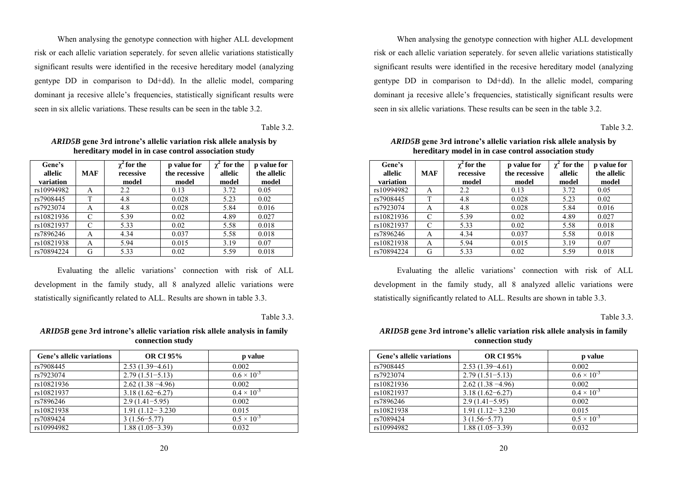When analysing the genotype connection with higher ALL development risk or each allelic variation seperately. for seven allelic variations statistically significant results were identified in the recesive hereditary model (analyzing gentype DD in comparison to Dd+dd). In the allelic model, comparing dominant ja recesive allele's frequencies, statistically significant results were seen in six allelic variations. These results can be seen in the table 3.2.

Table 3.2.

| Gene's<br>allelic<br>variation | <b>MAF</b> | $\chi^2$ for the<br>recessive<br>model | p value for<br>the recessive<br>model | $\gamma^2$ for the<br>allelic<br>model | p value for<br>the allelic<br>model |
|--------------------------------|------------|----------------------------------------|---------------------------------------|----------------------------------------|-------------------------------------|
| rs10994982                     | A          | 2.2                                    | 0.13                                  | 3.72                                   | 0.05                                |
| rs7908445                      | T          | 4.8                                    | 0.028                                 | 5.23                                   | 0.02                                |
| rs7923074                      | A          | 4.8                                    | 0.028                                 | 5.84                                   | 0.016                               |
| rs10821936                     | C          | 5.39                                   | 0.02                                  | 4.89                                   | 0.027                               |
| rs10821937                     |            | 5.33                                   | 0.02                                  | 5.58                                   | 0.018                               |
| rs7896246                      | A          | 4.34                                   | 0.037                                 | 5.58                                   | 0.018                               |
| rs10821938                     | A          | 5.94                                   | 0.015                                 | 3.19                                   | 0.07                                |
| rs70894224                     | G          | 5.33                                   | 0.02                                  | 5.59                                   | 0.018                               |

*ARID5B* **gene 3rd introne's allelic variation risk allele analysis by hereditary model in in case control association study** 

Evaluating the allelic variations' connection with risk of ALL development in the family study, all 8 analyzed allelic variations were statistically significantly related to ALL. Results are shown in table 3.3.

Table 3.3

*ARID5B* **gene 3rd introne's allelic variation risk allele analysis in family connection study**

| Gene's allelic variations | <b>OR CI 95%</b>     | p value              |
|---------------------------|----------------------|----------------------|
| rs7908445                 | $2.53(1.39-4.61)$    | 0.002                |
| rs7923074                 | $2.79(1.51 - 5.13)$  | $0.6 \times 10^{-3}$ |
| rs10821936                | $2.62(1.38 - 4.96)$  | 0.002                |
| rs10821937                | $3.18(1.62 - 6.27)$  | $0.4 \times 10^{-3}$ |
| rs7896246                 | $2.9(1.41-5.95)$     | 0.002                |
| rs10821938                | $1.91(1.12 - 3.230)$ | 0.015                |
| rs7089424                 | $3(1.56 - 5.77)$     | $0.5 \times 10^{-3}$ |
| rs10994982                | $1.88(1.05-3.39)$    | 0.032                |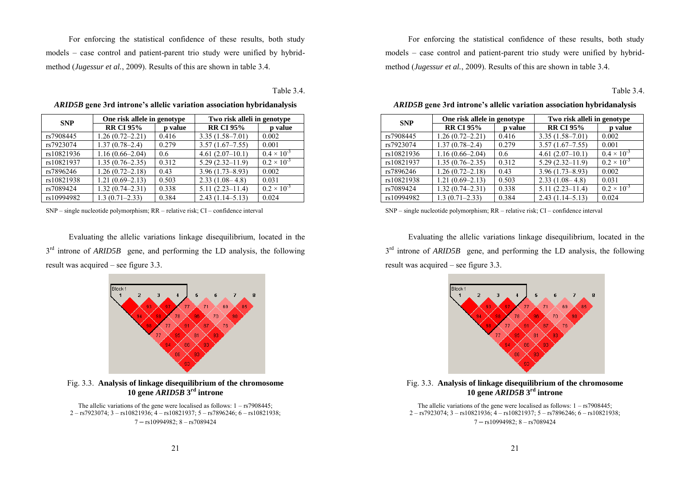For enforcing the statistical confidence of these results, both study models – case control and patient-parent trio study were unified by hybridmethod (*Jugessur et al.*, 2009). Results of this are shown in table 3.4.

Table 3.4.

| <b>SNP</b> | One risk allele in genotype |         | Two risk alleli in genotype |                      |  |
|------------|-----------------------------|---------|-----------------------------|----------------------|--|
|            | <b>RR CI 95%</b>            | p value | <b>RR CI 95%</b>            | p value              |  |
| rs7908445  | $1.26(0.72 - 2.21)$         | 0.416   | $3.35(1.58 - 7.01)$         | 0.002                |  |
| rs7923074  | $1.37(0.78 - 2.4)$          | 0.279   | $3.57(1.67 - 7.55)$         | 0.001                |  |
| rs10821936 | $1.16(0.66 - 2.04)$         | 0.6     | $4.61(2.07-10.1)$           | $0.4 \times 10^{-3}$ |  |
| rs10821937 | $1.35(0.76 - 2.35)$         | 0.312   | $5.29(2.32 - 11.9)$         | $0.2 \times 10^{-3}$ |  |
| rs7896246  | $1.26(0.72 - 2.18)$         | 0.43    | $3.96(1.73 - 8.93)$         | 0.002                |  |
| rs10821938 | $1.21(0.69 - 2.13)$         | 0.503   | $2.33(1.08-4.8)$            | 0.031                |  |
| rs7089424  | $1.32(0.74 - 2.31)$         | 0.338   | $5.11(2.23 - 11.4)$         | $0.2 \times 10^{-3}$ |  |
| rs10994982 | $1.3(0.71 - 2.33)$          | 0.384   | $2.43(1.14 - 5.13)$         | 0.024                |  |

*ARID5B* **gene 3rd introne's allelic variation association hybridanalysis** 

SNP – single nucleotide polymorphism; RR – relative risk; CI – confidence interval

Evaluating the allelic variations linkage disequilibrium, located in the  $3<sup>rd</sup>$  introne of *ARID5B* gene, and performing the LD analysis, the following result was acquired – see figure 3.3.



Fig. 3.3. **Analysis of linkage disequilibrium of the chromosome 10 gene** *ARID5B* **3rd introne** 

The allelic variations of the gene were localised as follows:  $1 - rs7908445$ ; 2 – rs7923074; 3 – rs10821936; 4 – rs10821937; 5 – rs7896246; 6 – rs10821938; 7 **–** rs10994982; 8 – rs7089424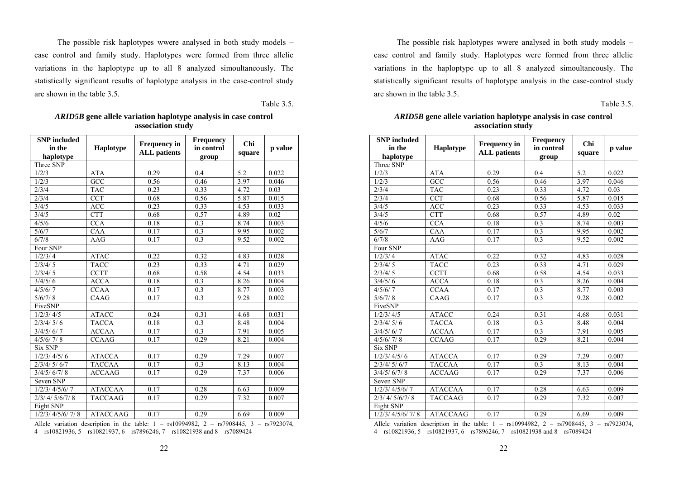The possible risk haplotypes wwere analysed in both study models – case control and family study. Haplotypes were formed from three allelic variations in the haploptype up to all 8 analyzed simoultaneously. The statistically significant results of haplotype analysis in the case-control study are shown in the table 3.5.

Table 3.5.

| <b>SNP</b> included<br>in the<br>haplotype | <b>Haplotype</b> | <b>Frequency in</b><br><b>ALL</b> patients | Frequency<br>in control<br>group | Chi<br>square | p value |
|--------------------------------------------|------------------|--------------------------------------------|----------------------------------|---------------|---------|
| Three SNP                                  |                  |                                            |                                  |               |         |
| 1/2/3                                      | <b>ATA</b>       | 0.29                                       | 0.4                              | 5.2           | 0.022   |
| 1/2/3                                      | GCC              | 0.56                                       | 0.46                             | 3.97          | 0.046   |
| 2/3/4                                      | <b>TAC</b>       | 0.23                                       | 0.33                             | 4.72          | 0.03    |
| 2/3/4                                      | <b>CCT</b>       | 0.68                                       | 0.56                             | 5.87          | 0.015   |
| 3/4/5                                      | <b>ACC</b>       | 0.23                                       | 0.33                             | 4.53          | 0.033   |
| 3/4/5                                      | <b>CTT</b>       | 0.68                                       | 0.57                             | 4.89          | 0.02    |
| 4/5/6                                      | <b>CCA</b>       | 0.18                                       | 0.3                              | 8.74          | 0.003   |
| 5/6/7                                      | CAA              | 0.17                                       | 0.3                              | 9.95          | 0.002   |
| 6/7/8                                      | AAG              | 0.17                                       | 0.3                              | 9.52          | 0.002   |
| Four SNP                                   |                  |                                            |                                  |               |         |
| 1/2/3/4                                    | <b>ATAC</b>      | 0.22                                       | 0.32                             | 4.83          | 0.028   |
| 2/3/4/5                                    | <b>TACC</b>      | 0.23                                       | 0.33                             | 4.71          | 0.029   |
| 2/3/4/5                                    | CCTT             | 0.68                                       | 0.58                             | 4.54          | 0.033   |
| 3/4/5/6                                    | <b>ACCA</b>      | 0.18                                       | 0.3                              | 8.26          | 0.004   |
| 4/5/6/7                                    | <b>CCAA</b>      | 0.17                                       | 0.3                              | 8.77          | 0.003   |
| 5/6/7/8                                    | CAAG             | 0.17                                       | 0.3                              | 9.28          | 0.002   |
| FiveSNP                                    |                  |                                            |                                  |               |         |
| 1/2/3/4/5                                  | <b>ATACC</b>     | 0.24                                       | 0.31                             | 4.68          | 0.031   |
| 2/3/4/5/6                                  | <b>TACCA</b>     | 0.18                                       | 0.3                              | 8.48          | 0.004   |
| 3/4/5/6/7                                  | <b>ACCAA</b>     | 0.17                                       | 0.3                              | 7.91          | 0.005   |
| 4/5/6/7/8                                  | <b>CCAAG</b>     | 0.17                                       | 0.29                             | 8.21          | 0.004   |
| <b>Six SNP</b>                             |                  |                                            |                                  |               |         |
| 1/2/3/4/5/6                                | <b>ATACCA</b>    | 0.17                                       | 0.29                             | 7.29          | 0.007   |
| 2/3/4/5/6/7                                | <b>TACCAA</b>    | 0.17                                       | $\overline{0.3}$                 | 8.13          | 0.004   |
| 3/4/5/6/7/8                                | <b>ACCAAG</b>    | 0.17                                       | 0.29                             | 7.37          | 0.006   |
| Seven SNP                                  |                  |                                            |                                  |               |         |
| 1/2/3/4/5/6/7                              | <b>ATACCAA</b>   | 0.17                                       | 0.28                             | 6.63          | 0.009   |
| 2/3/4/5/6/7/8                              | <b>TACCAAG</b>   | 0.17                                       | 0.29                             | 7.32          | 0.007   |
| Eight SNP                                  |                  |                                            |                                  |               |         |
| 1/2/3/4/5/6/7/8                            | <b>ATACCAAG</b>  | 0.17                                       | 0.29                             | 6.69          | 0.009   |

*ARID5B* **gene allele variation haplotype analysis in case control association study** 

Allele variation description in the table:  $1 - rs10994982$ ,  $2 - rs7908445$ ,  $3 - rs7923074$ , 4 – rs10821936, 5 – rs10821937, 6 – rs7896246, 7 – rs10821938 and 8 – rs7089424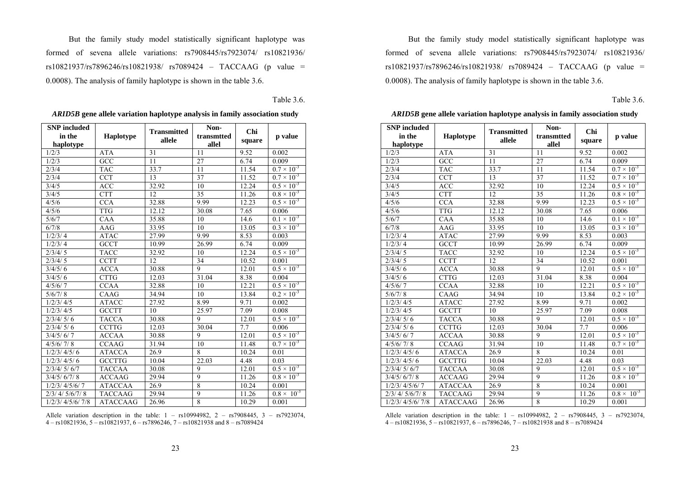But the family study model statistically significant haplotype was formed of sevena allele variations: rs7908445/rs7923074/ rs10821936/ rs10821937/rs7896246/rs10821938/ rs7089424 – TACCAAG (p value = 0.0008). The analysis of family haplotype is shown in the table 3.6.

Table 3.6.

| <b>SNP</b> included  |                  | <b>Transmitted</b> | Non-           | Chi    |                      |
|----------------------|------------------|--------------------|----------------|--------|----------------------|
| in the               | <b>Haplotype</b> | allele             | transmtted     |        | p value              |
| haplotype            |                  |                    | allel          | square |                      |
| 1/2/3                | <b>ATA</b>       | 31                 | 11             | 9.52   | 0.002                |
| 1/2/3                | GCC              | 11                 | 27             | 6.74   | 0.009                |
| 2/3/4                | <b>TAC</b>       | 33.7               | 11             | 11.54  | $0.7 \times 10^{-3}$ |
| 2/3/4                | <b>CCT</b>       | 13                 | 37             | 11.52  | $0.7 \times 10^{-3}$ |
| 3/4/5                | <b>ACC</b>       | 32.92              | 10             | 12.24  | $0.5 \times 10^{-3}$ |
| 3/4/5                | <b>CTT</b>       | 12                 | 35             | 11.26  | $0.8 \times 10^{-3}$ |
| 4/5/6                | <b>CCA</b>       | 32.88              | 9.99           | 12.23  | $0.5 \times 10^{-3}$ |
| 4/5/6                | <b>TTG</b>       | 12.12              | 30.08          | 7.65   | 0.006                |
| 5/6/7                | CAA              | 35.88              | 10             | 14.6   | $0.1 \times 10^{-3}$ |
| 6/7/8                | AAG              | 33.95              | 10             | 13.05  | $0.3 \times 10^{-3}$ |
| 1/2/3/4              | <b>ATAC</b>      | 27.99              | 9.99           | 8.53   | 0.003                |
| $1/2/3/\overline{4}$ | GCCT             | 10.99              | 26.99          | 6.74   | 0.009                |
| 2/3/4/5              | <b>TACC</b>      | 32.92              | 10             | 12.24  | $0.5 \times 10^{-3}$ |
| 2/3/4/5              | <b>CCTT</b>      | 12                 | 34             | 10.52  | 0.001                |
| 3/4/5/6              | <b>ACCA</b>      | 30.88              | 9              | 12.01  | $0.5 \times 10^{-3}$ |
| 3/4/5/6              | <b>CTTG</b>      | 12.03              | 31.04          | 8.38   | 0.004                |
| 4/5/6/7              | <b>CCAA</b>      | 32.88              | 10             | 12.21  | $0.5 \times 10^{-3}$ |
| 5/6/7/8              | CAAG             | 34.94              | 10             | 13.84  | $0.2 \times 10^{-3}$ |
| 1/2/3/4/5            | <b>ATACC</b>     | 27.92              | 8.99           | 9.71   | 0.002                |
| 1/2/3/4/5            | <b>GCCTT</b>     | 10                 | 25.97          | 7.09   | 0.008                |
| 2/3/4/5/6            | <b>TACCA</b>     | 30.88              | 9              | 12.01  | $0.5 \times 10^{-3}$ |
| 2/3/4/5/6            | <b>CCTTG</b>     | 12.03              | 30.04          | 7.7    | 0.006                |
| 3/4/5/6/7            | <b>ACCAA</b>     | 30.88              | 9              | 12.01  | $0.5 \times 10^{-3}$ |
| 4/5/6/7/8            | <b>CCAAG</b>     | 31.94              | 10             | 11.48  | $0.7 \times 10^{-3}$ |
| 1/2/3/4/5/6          | <b>ATACCA</b>    | 26.9               | 8              | 10.24  | 0.01                 |
| 1/2/3/4/5/6          | <b>GCCTTG</b>    | 10.04              | 22.03          | 4.48   | 0.03                 |
| 2/3/4/5/6/7          | <b>TACCAA</b>    | 30.08              | 9              | 12.01  | $0.5 \times 10^{-3}$ |
| 3/4/5/6/7/8          | <b>ACCAAG</b>    | 29.94              | 9              | 11.26  | $0.8 \times 10^{-3}$ |
| 1/2/3/4/5/6/7        | <b>ATACCAA</b>   | 26.9               | 8              | 10.24  | 0.001                |
| 2/3/4/5/6/7/8        | <b>TACCAAG</b>   | 29.94              | $\overline{9}$ | 11.26  | $0.8 \times 10^{-3}$ |
| 1/2/3/4/5/6/7/8      | <b>ATACCAAG</b>  | 26.96              | 8              | 10.29  | 0.001                |

*ARID5B* **gene allele variation haplotype analysis in family association study** 

Allele variation description in the table:  $1 - rs10994982$ ,  $2 - rs7908445$ ,  $3 - rs7923074$ , 4 – rs10821936, 5 – rs10821937, 6 – rs7896246, 7 – rs10821938 and 8 – rs7089424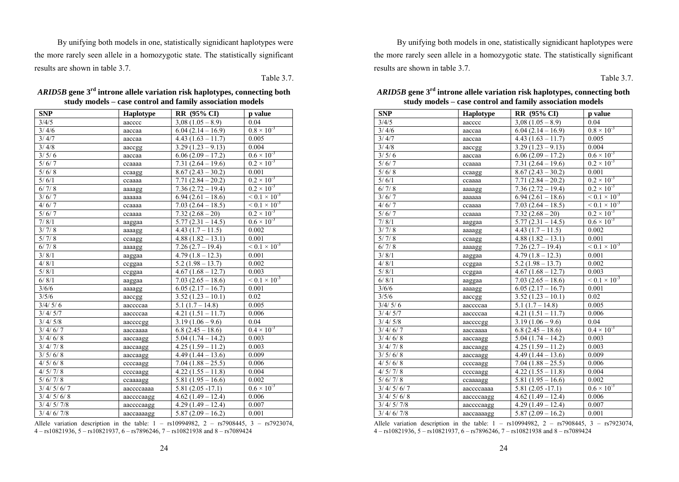By unifying both models in one, statistically signidicant haplotypes were the more rarely seen allele in a homozygotic state. The statistically significant results are shown in table 3.7.

Table 3.7.

| <b>SNP</b>          | <b>Haplotype</b> | <b>RR</b> (95% CI)  | p value                   |
|---------------------|------------------|---------------------|---------------------------|
| 3/4/5               | aacccc           | $3,08(1.05-8.9)$    | 0.04                      |
| 3/4/6               | aaccaa           | $6.04(2.14-16.9)$   | $0.8 \times 10^{-3}$      |
| 3/4/7               | aaccaa           | $4.43(1.63 - 11.7)$ | 0.005                     |
| 3/4/8               | aaccgg           | $3.29(1.23 - 9.13)$ | 0.004                     |
| 3/5/6               | aaccaa           | $6.06(2.09 - 17.2)$ | $0.6 \times 10^{-3}$      |
| 5/6/7               | ccaaaa           | $7.31(2.64 - 19.6)$ | $0.2 \times 10^{-3}$      |
| 5/6/8               | ccaagg           | $8.67(2.43 - 30.2)$ | 0.001                     |
| 5/6/1               | ccaaaa           | $7.71(2.84-20.2)$   | $0.2 \times 10^{-3}$      |
| 6/7/8               | aaaagg           | $7.36(2.72 - 19.4)$ | $0.2 \times 10^{-3}$      |
| 3/6/7               | aaaaaa           | $6.94(2.61 - 18.6)$ | $\leq 0.1 \times 10^{-3}$ |
| 4/6/7               | ccaaaa           | $7.03(2.64 - 18.5)$ | $\leq 0.1 \times 10^{-3}$ |
| 5/6/7               | ccaaaa           | $7.32(2.68-20)$     | $0.2 \times 10^{-3}$      |
| 7/8/1               | aaggaa           | $5.77(2.31 - 14.5)$ | $0.6 \times 10^{-3}$      |
| 3/7/8               | aaaagg           | $4.43(1.7 - 11.5)$  | 0.002                     |
| 5/7/8               | ccaagg           | $4.88(1.82 - 13.1)$ | 0.001                     |
| 6/7/8               | aaaagg           | $7.26(2.7 - 19.4)$  | $< 0.1 \times 10^{-3}$    |
| 3/8/1               | aaggaa           | $4.79(1.8 - 12.3)$  | 0.001                     |
| 4/8/1               | ccggaa           | $5.2(1.98 - 13.7)$  | 0.002                     |
| 5/8/1               | ccggaa           | $4.67(1.68 - 12.7)$ | 0.003                     |
| 6/ 8/1              | aaggaa           | $7.03(2.65 - 18.6)$ | $< 0.1 \times 10^{-3}$    |
| 3/6/6               | aaaagg           | $6.05(2.17 - 16.7)$ | 0.001                     |
| 3/5/6               | aaccgg           | $3.52(1.23 - 10.1)$ | 0.02                      |
| 3/4/5/6             | aaccccaa         | $5.1(1.7 - 14.8)$   | 0.005                     |
| 3/4/5/7             | aaccccaa         | $4.21(1.51 - 11.7)$ | 0.006                     |
| $\frac{3}{4}$ / 5/8 | aaccccgg         | $3.19(1.06 - 9.6)$  | 0.04                      |
| 3/4/6/7             | aaccaaaa         | $6.8$ (2.45 – 18.6) | $0.4 \times 10^{-3}$      |
| 3/4/6/8             | aaccaagg         | $5.04(1.74 - 14.2)$ | 0.003                     |
| 3/4/7/8             | aaccaagg         | $4.25(1.59 - 11.2)$ | 0.003                     |
| 3/5/6/8             | aaccaagg         | $4.49(1.44 - 13.6)$ | 0.009                     |
| 4/ 5/ 6/ 8          | ccccaagg         | $7.04(1.88 - 25.5)$ | 0.006                     |
| 4/ 5/ 7/ 8          | ccccaagg         | $4.22(1.55 - 11.8)$ | 0.004                     |
| 5/6/7/8             | ccaaaagg         | $5.81(1.95 - 16.6)$ | 0.002                     |
| 3/4/5/6/7           | aaccccaaaa       | $5.81(2.05 - 17.1)$ | $0.6 \times 10^{-3}$      |
| 3/4/5/6/8           | aaccccaagg       | $4.62(1.49 - 12.4)$ | 0.006                     |
| 3/4/5/7/8           | aaccccaagg       | $4.29(1.49 - 12.4)$ | 0.007                     |
| 3/4/6/7/8           | aaccaaaagg       | $5.87(2.09 - 16.2)$ | 0.001                     |

| ARID5B gene 3 <sup>rd</sup> introne allele variation risk haplotypes, connecting both |
|---------------------------------------------------------------------------------------|
| study models – case control and family association models                             |

Allele variation description in the table:  $1 - rs10994982$ ,  $2 - rs7908445$ ,  $3 - rs7923074$ ,  $4 - rs10821936$ ,  $5 - rs10821937$ ,  $6 - rs7896246$ ,  $7 - rs10821938$  and  $8 - rs7089424$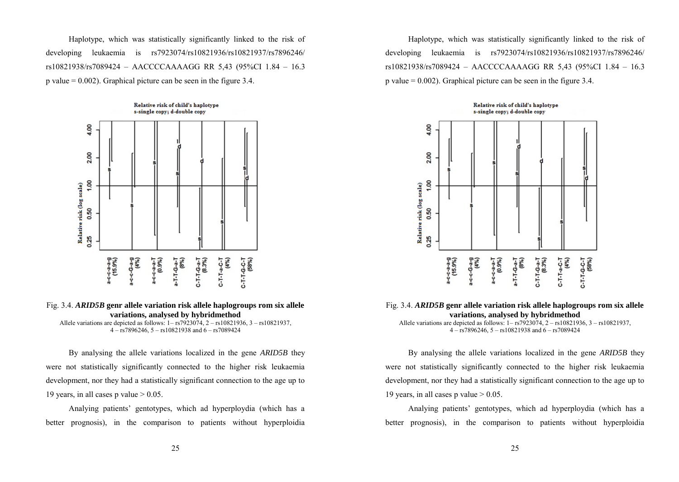Haplotype, which was statistically significantly linked to the risk of developing leukaemia is rs7923074/rs10821936/rs10821937/rs7896246/ rs10821938/rs7089424 – AACCCCAAAAGG RR 5,43 (95%CI 1.84 – 16.3 p value  $= 0.002$ ). Graphical picture can be seen in the figure 3.4.



Fig. 3.4. *ARID5B* **genr allele variation risk allele haplogroups rom six allele variations, analysed by hybridmethod** 

Allele variations are depicted as follows: 1– rs7923074, 2 – rs10821936, 3 – rs10821937, 4 – rs7896246, 5 – rs10821938 and 6 – rs7089424

By analysing the allele variations localized in the gene *ARID5B* they were not statistically significantly connected to the higher risk leukaemia development, nor they had a statistically significant connection to the age up to 19 years, in all cases p value  $> 0.05$ .

Analying patients' gentotypes, which ad hyperploydia (which has a better prognosis), in the comparison to patients without hyperploidia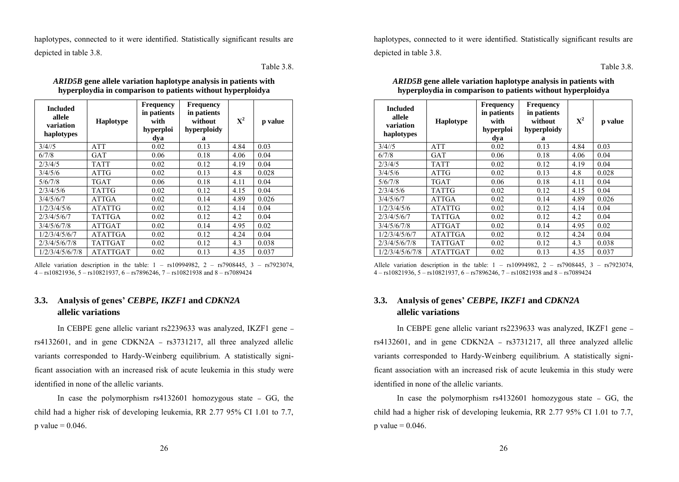haplotypes, connected to it were identified. Statistically significant results are depicted in table 3.8.

Table 3.8.

| <b>Included</b><br>allele<br>variation<br>haplotypes | <b>Haplotype</b> | <b>Frequency</b><br>in patients<br>with<br>hyperploi<br>dya | <b>Frequency</b><br>in patients<br>without<br>hyperploidy<br>a | $X^2$ | p value |
|------------------------------------------------------|------------------|-------------------------------------------------------------|----------------------------------------------------------------|-------|---------|
| 3/4/5                                                | <b>ATT</b>       | 0.02                                                        | 0.13                                                           | 4.84  | 0.03    |
| 6/7/8                                                | <b>GAT</b>       | 0.06                                                        | 0.18                                                           | 4.06  | 0.04    |
| 2/3/4/5                                              | <b>TATT</b>      | 0.02                                                        | 0.12                                                           | 4.19  | 0.04    |
| 3/4/5/6                                              | <b>ATTG</b>      | 0.02                                                        | 0.13                                                           | 4.8   | 0.028   |
| 5/6/7/8                                              | TGAT             | 0.06                                                        | 0.18                                                           | 4.11  | 0.04    |
| 2/3/4/5/6                                            | <b>TATTG</b>     | 0.02                                                        | 0.12                                                           | 4.15  | 0.04    |
| 3/4/5/6/7                                            | ATTGA            | 0.02                                                        | 0.14                                                           | 4.89  | 0.026   |
| 1/2/3/4/5/6                                          | <b>ATATTG</b>    | 0.02                                                        | 0.12                                                           | 4.14  | 0.04    |
| 2/3/4/5/6/7                                          | <b>TATTGA</b>    | 0.02                                                        | 0.12                                                           | 4.2   | 0.04    |
| 3/4/5/6/7/8                                          | <b>ATTGAT</b>    | 0.02                                                        | 0.14                                                           | 4.95  | 0.02    |
| 1/2/3/4/5/6/7                                        | <b>ATATTGA</b>   | 0.02                                                        | 0.12                                                           | 4.24  | 0.04    |
| 2/3/4/5/6/7/8                                        | TATTGAT          | 0.02                                                        | 0.12                                                           | 4.3   | 0.038   |
| 1/2/3/4/5/6/7/8                                      | <b>ATATTGAT</b>  | 0.02                                                        | 0.13                                                           | 4.35  | 0.037   |

*ARID5B* **gene allele variation haplotype analysis in patients with hyperploydia in comparison to patients without hyperploidya** 

Allele variation description in the table:  $1 - rs10994982$ ,  $2 - rs7908445$ ,  $3 - rs7923074$ , 4 – rs10821936, 5 – rs10821937, 6 – rs7896246, 7 – rs10821938 and 8 – rs7089424

# **3.3. Analysis of genes'** *CEBPE, IKZF1* **and** *CDKN2A* **allelic variations**

In CEBPE gene allelic variant rs2239633 was analyzed, IKZF1 gene **–** rs4132601, and in gene CDKN2A **–** rs3731217, all three analyzed allelic variants corresponded to Hardy-Weinberg equilibrium. A statistically significant association with an increased risk of acute leukemia in this study were identified in none of the allelic variants.

In case the polymorphism rs4132601 homozygous state **–** GG, the child had a higher risk of developing leukemia, RR 2.77 95% CI 1.01 to 7.7, p value  $= 0.046$ .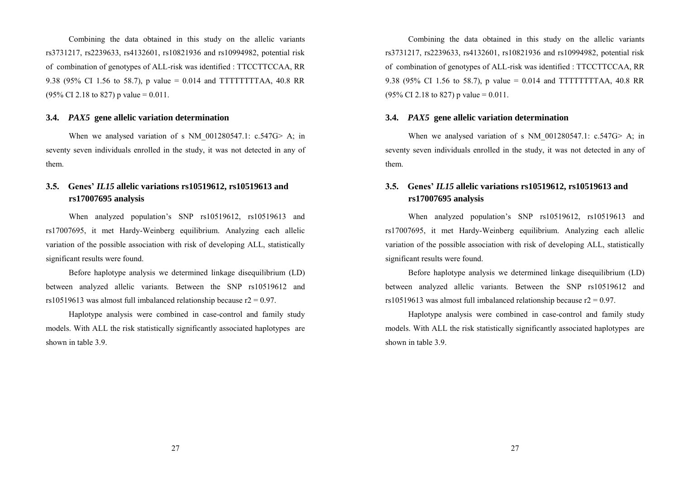Combining the data obtained in this study on the allelic variants rs3731217, rs2239633, rs4132601, rs10821936 and rs10994982, potential risk of combination of genotypes of ALL-risk was identified : TTCCTTCCAA, RR 9.38 (95% CI 1.56 to 58.7), p value = 0.014 and TTTTTTTTAA, 40.8 RR  $(95\% \text{ CI } 2.18 \text{ to } 827) \text{ p value} = 0.011.$ 

#### **3.4.** *PAX5* **gene allelic variation determination**

When we analysed variation of s NM  $001280547.1: c.547G > A$ ; in seventy seven individuals enrolled in the study, it was not detected in any of them.

# **3.5. Genes'** *IL15* **allelic variations rs10519612, rs10519613 and rs17007695 analysis**

When analyzed population's SNP rs10519612, rs10519613 and rs17007695, it met Hardy-Weinberg equilibrium. Analyzing each allelic variation of the possible association with risk of developing ALL, statistically significant results were found.

Before haplotype analysis we determined linkage disequilibrium (LD) between analyzed allelic variants. Between the SNP rs10519612 and rs10519613 was almost full imbalanced relationship because  $r2 = 0.97$ .

Haplotype analysis were combined in case-control and family study models. With ALL the risk statistically significantly associated haplotypes are shown in table 3.9.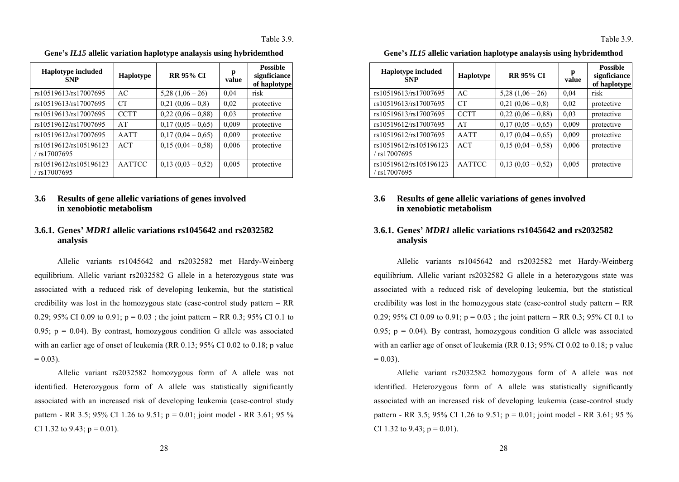| <b>Haplotype included</b><br><b>SNP</b>  | Haplotype     | <b>RR 95% CI</b>  | р<br>value | <b>Possible</b><br>signficiance<br>of haplotype |
|------------------------------------------|---------------|-------------------|------------|-------------------------------------------------|
| rs10519613/rs17007695                    | AC            | $5,28(1,06-26)$   | 0.04       | risk                                            |
| rs10519613/rs17007695                    | CT            | $0,21(0,06-0,8)$  | 0.02       | protective                                      |
| rs10519613/rs17007695                    | <b>CCTT</b>   | $0,22(0,06-0,88)$ | 0.03       | protective                                      |
| rs10519612/rs17007695                    | AT            | $0.17(0.05-0.65)$ | 0,009      | protective                                      |
| rs10519612/rs17007695                    | <b>AATT</b>   | $0.17(0.04-0.65)$ | 0,009      | protective                                      |
| rs10519612/rs105196123<br>rs17007695     | <b>ACT</b>    | $0.15(0.04-0.58)$ | 0,006      | protective                                      |
| rs10519612/rs105196123<br>$/$ rs17007695 | <b>AATTCC</b> | $0.13(0.03-0.52)$ | 0,005      | protective                                      |

**Gene's** *IL15* **allelic variation haplotype analaysis using hybridemthod** 

# **3.6 Results of gene allelic variations of genes involved in xenobiotic metabolism**

# **3.6.1. Genes'** *MDR1* **allelic variations rs1045642 and rs2032582 analysis**

Allelic variants rs1045642 and rs2032582 met Hardy-Weinberg equilibrium. Allelic variant rs2032582 G allele in a heterozygous state was associated with a reduced risk of developing leukemia, but the statistical credibility was lost in the homozygous state (case-control study pattern **–** RR 0.29; 95% CI 0.09 to 0.91; p = 0.03 ; the joint pattern **–** RR 0.3; 95% CI 0.1 to 0.95;  $p = 0.04$ ). By contrast, homozygous condition G allele was associated with an earlier age of onset of leukemia (RR 0.13; 95% CI 0.02 to 0.18; p value  $= 0.03$ 

Allelic variant rs2032582 homozygous form of A allele was not identified. Heterozygous form of A allele was statistically significantly associated with an increased risk of developing leukemia (case-control study pattern - RR 3.5; 95% CI 1.26 to 9.51;  $p = 0.01$ ; joint model - RR 3.61; 95 % CI 1.32 to 9.43;  $p = 0.01$ ).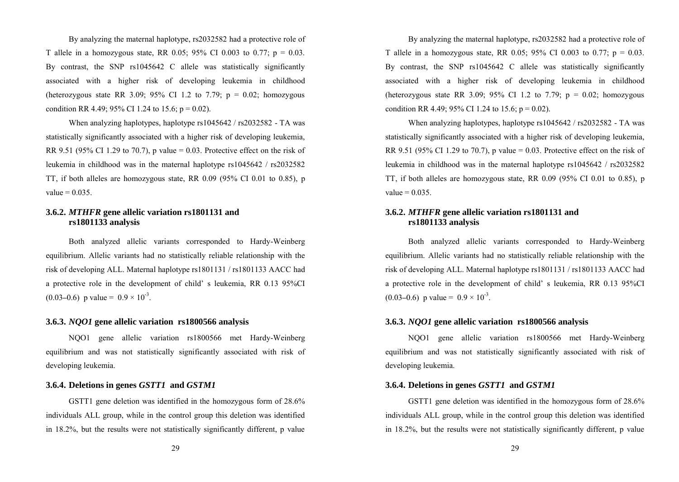By analyzing the maternal haplotype, rs2032582 had a protective role of T allele in a homozygous state, RR 0.05; 95% CI 0.003 to 0.77;  $p = 0.03$ . By contrast, the SNP rs1045642 C allele was statistically significantly associated with a higher risk of developing leukemia in childhood (heterozygous state RR 3.09; 95% CI 1.2 to 7.79;  $p = 0.02$ ; homozygous condition RR 4.49; 95% CI 1.24 to 15.6;  $p = 0.02$ ).

When analyzing haplotypes, haplotype rs1045642 / rs2032582 - TA was statistically significantly associated with a higher risk of developing leukemia, RR 9.51 (95% CI 1.29 to 70.7), p value = 0.03. Protective effect on the risk of leukemia in childhood was in the maternal haplotype rs1045642 / rs2032582 TT, if both alleles are homozygous state, RR 0.09 (95% CI 0.01 to 0.85), p value  $= 0.035$ .

# **3.6.2.** *MTHFR* **gene allelic variation rs1801131 and rs1801133 analysis**

Both analyzed allelic variants corresponded to Hardy-Weinberg equilibrium. Allelic variants had no statistically reliable relationship with the risk of developing ALL. Maternal haplotype rs1801131 / rs1801133 AACC had a protective role in the development of child' s leukemia, RR 0.13 95%CI  $(0.03-0.6)$  p value =  $0.9 \times 10^{-3}$ .

## **3.6.3.** *NQO1* **gene allelic variation rs1800566 analysis**

NQO1 gene allelic variation rs1800566 met Hardy-Weinberg equilibrium and was not statistically significantly associated with risk of developing leukemia.

## **3.6.4. Deletions in genes** *GSTT1* **and** *GSTM1*

GSTT1 gene deletion was identified in the homozygous form of 28.6% individuals ALL group, while in the control group this deletion was identified in 18.2%, but the results were not statistically significantly different, p value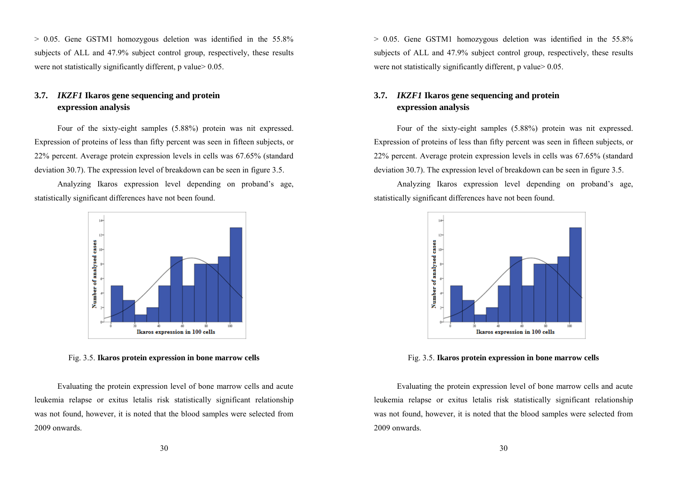> 0.05. Gene GSTM1 homozygous deletion was identified in the 55.8% subjects of ALL and 47.9% subject control group, respectively, these results were not statistically significantly different, p value  $> 0.05$ .

# **3.7.** *IKZF1* **Ikaros gene sequencing and protein expression analysis**

Four of the sixty-eight samples (5.88%) protein was nit expressed. Expression of proteins of less than fifty percent was seen in fifteen subjects, or 22% percent. Average protein expression levels in cells was 67.65% (standard deviation 30.7). The expression level of breakdown can be seen in figure 3.5.

Analyzing Ikaros expression level depending on proband's age, statistically significant differences have not been found.



Fig. 3.5. **Ikaros protein expression in bone marrow cells** 

Evaluating the protein expression level of bone marrow cells and acute leukemia relapse or exitus letalis risk statistically significant relationship was not found, however, it is noted that the blood samples were selected from 2009 onwards.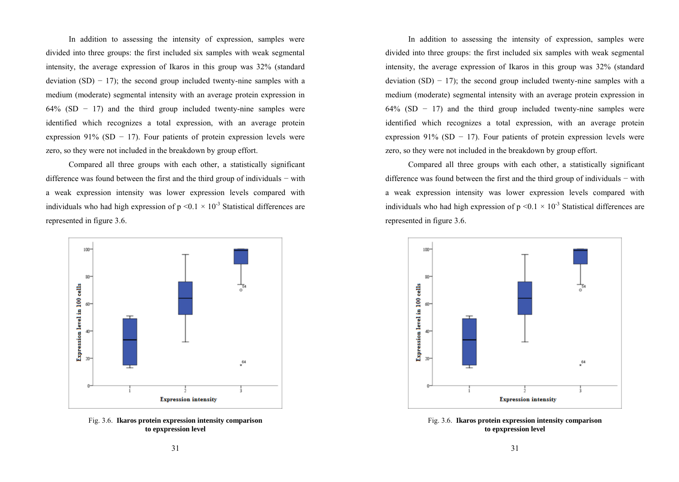In addition to assessing the intensity of expression, samples were divided into three groups: the first included six samples with weak segmental intensity, the average expression of Ikaros in this group was 32% (standard deviation  $(SD) - 17$ ); the second group included twenty-nine samples with a medium (moderate) segmental intensity with an average protein expression in  $64\%$  (SD − 17) and the third group included twenty-nine samples were identified which recognizes a total expression, with an average protein expression 91% (SD  $-$  17). Four patients of protein expression levels were zero, so they were not included in the breakdown by group effort.

Compared all three groups with each other, a statistically significant difference was found between the first and the third group of individuals − with a weak expression intensity was lower expression levels compared with individuals who had high expression of  $p \le 0.1 \times 10^{-3}$  Statistical differences are represented in figure 3.6.



Fig. 3.6. **Ikaros protein expression intensity comparison to epxpression level**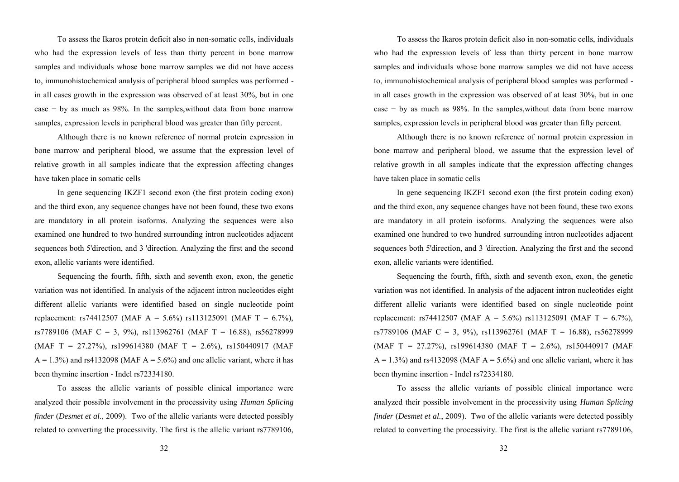To assess the Ikaros protein deficit also in non-somatic cells, individuals who had the expression levels of less than thirty percent in bone marrow samples and individuals whose bone marrow samples we did not have access to, immunohistochemical analysis of peripheral blood samples was performed in all cases growth in the expression was observed of at least 30%, but in one case − by as much as 98%. In the samples,without data from bone marrow samples, expression levels in peripheral blood was greater than fifty percent.

Although there is no known reference of normal protein expression in bone marrow and peripheral blood, we assume that the expression level of relative growth in all samples indicate that the expression affecting changes have taken place in somatic cells

In gene sequencing IKZF1 second exon (the first protein coding exon) and the third exon, any sequence changes have not been found, these two exons are mandatory in all protein isoforms. Analyzing the sequences were also examined one hundred to two hundred surrounding intron nucleotides adjacent sequences both 5'direction, and 3 'direction. Analyzing the first and the second exon, allelic variants were identified.

Sequencing the fourth, fifth, sixth and seventh exon, exon, the genetic variation was not identified. In analysis of the adjacent intron nucleotides eight different allelic variants were identified based on single nucleotide point replacement: rs74412507 (MAF A = 5.6%) rs113125091 (MAF T = 6.7%), rs7789106 (MAF C = 3, 9%), rs113962761 (MAF T = 16.88), rs56278999 (MAF T = 27.27%), rs199614380 (MAF T = 2.6%), rs150440917 (MAF  $A = 1.3\%$ ) and rs4132098 (MAF  $A = 5.6\%$ ) and one allelic variant, where it has been thymine insertion - Indel rs72334180.

To assess the allelic variants of possible clinical importance were analyzed their possible involvement in the processivity using *Human Splicing finder (Desmet et al., 2009).* Two of the allelic variants were detected possibly related to converting the processivity. The first is the allelic variant rs7789106,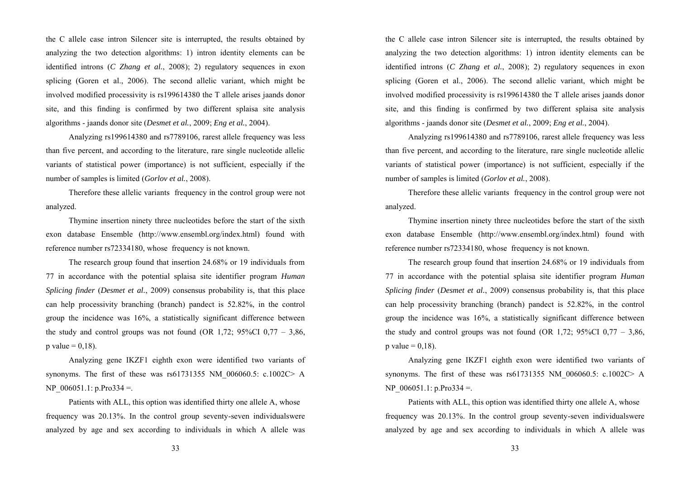the C allele case intron Silencer site is interrupted, the results obtained by analyzing the two detection algorithms: 1) intron identity elements can be identified introns (*C Zhang et al.*, 2008); 2) regulatory sequences in exon splicing (Goren et al., 2006). The second allelic variant, which might be involved modified processivity is rs199614380 the T allele arises jaands donor site, and this finding is confirmed by two different splaisa site analysis algorithms - jaands donor site (*Desmet et al.*, 2009; *Eng et al.*, 2004).

Analyzing rs199614380 and rs7789106, rarest allele frequency was less than five percent, and according to the literature, rare single nucleotide allelic variants of statistical power (importance) is not sufficient, especially if the number of samples is limited (*Gorlov et al.*, 2008).

Therefore these allelic variants frequency in the control group were not analyzed.

Thymine insertion ninety three nucleotides before the start of the sixth exon database Ensemble (http://www.ensembl.org/index.html) found with reference number rs72334180, whose frequency is not known.

The research group found that insertion 24.68% or 19 individuals from 77 in accordance with the potential splaisa site identifier program *Human Splicing finder* (*Desmet et al.*, 2009) consensus probability is, that this place can help processivity branching (branch) pandect is 52.82%, in the control group the incidence was 16%, a statistically significant difference between the study and control groups was not found (OR 1,72;  $95\%$ CI 0,77 – 3,86, p value  $= 0.18$ ).

Analyzing gene IKZF1 eighth exon were identified two variants of synonyms. The first of these was  $rs61731355$  NM  $006060.5$ : c.1002C> A NP  $006051.1$ : p.Pro334 =.

Patients with ALL, this option was identified thirty one allele A, whose frequency was 20.13%. In the control group seventy-seven individualswere analyzed by age and sex according to individuals in which A allele was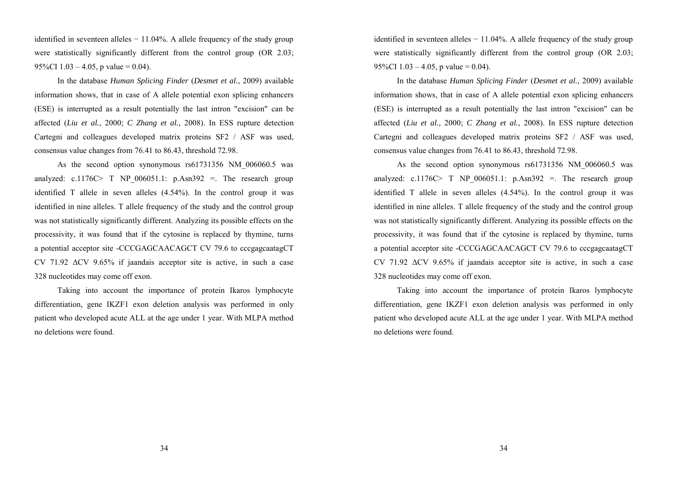identified in seventeen alleles  $-11.04\%$ . A allele frequency of the study group were statistically significantly different from the control group (OR 2.03; 95%CI  $1.03 - 4.05$ , p value = 0.04).

In the database *Human Splicing Finder* (*Desmet et al.*, 2009) available information shows, that in case of A allele potential exon splicing enhancers (ESE) is interrupted as a result potentially the last intron "excision" can be affected (*Liu et al.*, 2000; *C Zhang et al.*, 2008). In ESS rupture detection Cartegni and colleagues developed matrix proteins SF2 / ASF was used, consensus value changes from 76.41 to 86.43, threshold 72.98.

As the second option synonymous rs61731356 NM\_006060.5 was analyzed: c.1176C> T NP  $006051.1$ : p.Asn392 =. The research group identified T allele in seven alleles (4.54%). In the control group it was identified in nine alleles. T allele frequency of the study and the control group was not statistically significantly different. Analyzing its possible effects on the processivity, it was found that if the cytosine is replaced by thymine, turns a potential acceptor site -CCCGAGCAACAGCT CV 79.6 to cccgagcaatagCT CV 71.92 ΔCV 9.65% if jaandais acceptor site is active, in such a case 328 nucleotides may come off exon.

Taking into account the importance of protein Ikaros lymphocyte differentiation, gene IKZF1 exon deletion analysis was performed in only patient who developed acute ALL at the age under 1 year. With MLPA method no deletions were found.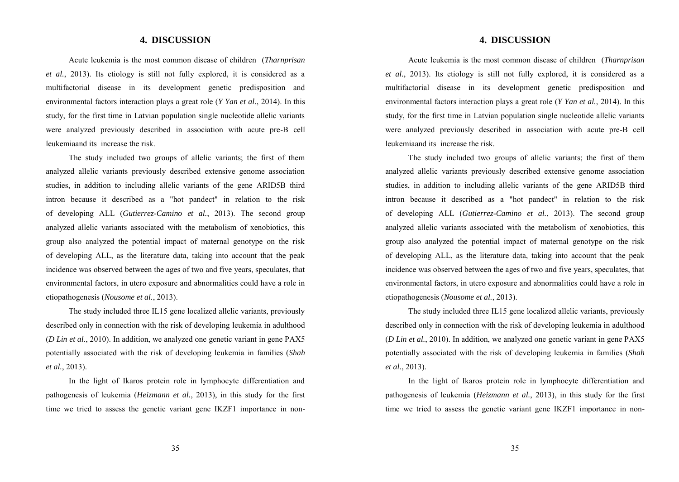## **4. DISCUSSION**

Acute leukemia is the most common disease of children (*Tharnprisan et al.*, 2013). Its etiology is still not fully explored, it is considered as a multifactorial disease in its development genetic predisposition and environmental factors interaction plays a great role (*Y Yan et al.*, 2014). In this study, for the first time in Latvian population single nucleotide allelic variants were analyzed previously described in association with acute pre-B cell leukemiaand its increase the risk.

The study included two groups of allelic variants; the first of them analyzed allelic variants previously described extensive genome association studies, in addition to including allelic variants of the gene ARID5B third intron because it described as a "hot pandect" in relation to the risk of developing ALL (*Gutierrez-Camino et al.*, 2013). The second group analyzed allelic variants associated with the metabolism of xenobiotics, this group also analyzed the potential impact of maternal genotype on the risk of developing ALL, as the literature data, taking into account that the peak incidence was observed between the ages of two and five years, speculates, that environmental factors, in utero exposure and abnormalities could have a role in etiopathogenesis (*Nousome et al.*, 2013).

The study included three IL15 gene localized allelic variants, previously described only in connection with the risk of developing leukemia in adulthood (*D Lin et al.*, 2010). In addition, we analyzed one genetic variant in gene PAX5 potentially associated with the risk of developing leukemia in families (*Shah et al.*, 2013).

In the light of Ikaros protein role in lymphocyte differentiation and pathogenesis of leukemia (*Heizmann et al.*, 2013), in this study for the first time we tried to assess the genetic variant gene IKZF1 importance in non-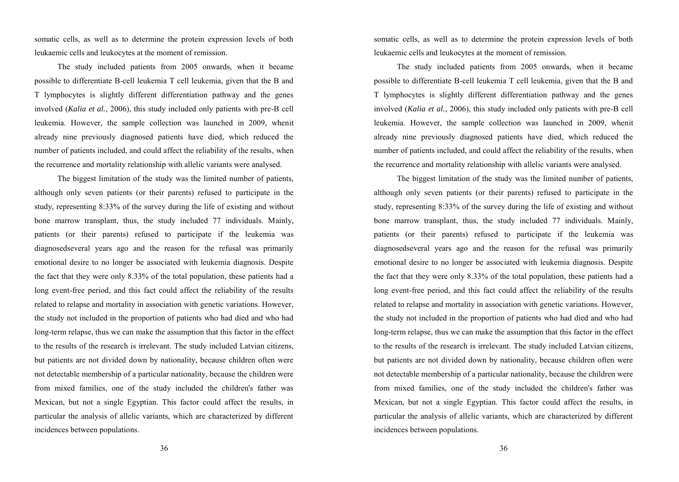somatic cells, as well as to determine the protein expression levels of both leukaemic cells and leukocytes at the moment of remission.

The study included patients from 2005 onwards, when it became possible to differentiate B-cell leukemia T cell leukemia, given that the B and T lymphocytes is slightly different differentiation pathway and the genes involved (*Kalia et al.*, 2006), this study included only patients with pre-B cell leukemia. However, the sample collection was launched in 2009, whenit already nine previously diagnosed patients have died, which reduced the number of patients included, and could affect the reliability of the results, when the recurrence and mortality relationship with allelic variants were analysed.

The biggest limitation of the study was the limited number of patients, although only seven patients (or their parents) refused to participate in the study, representing 8:33% of the survey during the life of existing and without bone marrow transplant, thus, the study included 77 individuals. Mainly, patients (or their parents) refused to participate if the leukemia was diagnosedseveral years ago and the reason for the refusal was primarily emotional desire to no longer be associated with leukemia diagnosis. Despite the fact that they were only 8.33% of the total population, these patients had a long event-free period, and this fact could affect the reliability of the results related to relapse and mortality in association with genetic variations. However, the study not included in the proportion of patients who had died and who had long-term relapse, thus we can make the assumption that this factor in the effect to the results of the research is irrelevant. The study included Latvian citizens, but patients are not divided down by nationality, because children often were not detectable membership of a particular nationality, because the children were from mixed families, one of the study included the children's father was Mexican, but not a single Egyptian. This factor could affect the results, in particular the analysis of allelic variants, which are characterized by different incidences between populations.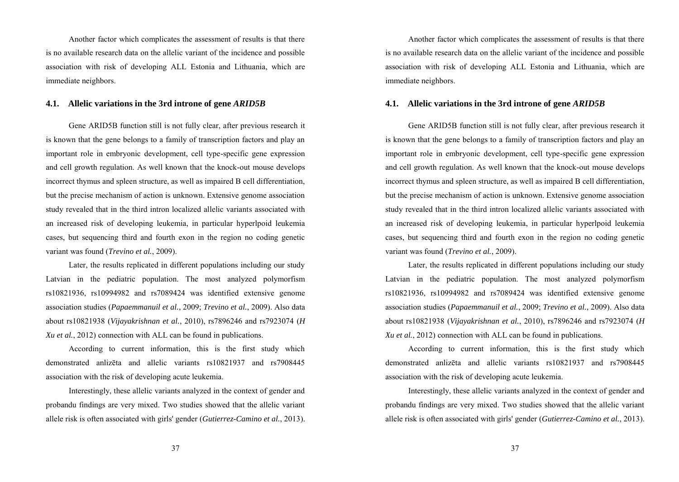Another factor which complicates the assessment of results is that there is no available research data on the allelic variant of the incidence and possible association with risk of developing ALL Estonia and Lithuania, which are immediate neighbors.

#### **4.1. Allelic variations in the 3rd introne of gene** *ARID5B*

Gene ARID5B function still is not fully clear, after previous research it is known that the gene belongs to a family of transcription factors and play an important role in embryonic development, cell type-specific gene expression and cell growth regulation. As well known that the knock-out mouse develops incorrect thymus and spleen structure, as well as impaired B cell differentiation, but the precise mechanism of action is unknown. Extensive genome association study revealed that in the third intron localized allelic variants associated with an increased risk of developing leukemia, in particular hyperlpoid leukemia cases, but sequencing third and fourth exon in the region no coding genetic variant was found (*Trevino et al.*, 2009).

Later, the results replicated in different populations including our study Latvian in the pediatric population. The most analyzed polymorfism rs10821936, rs10994982 and rs7089424 was identified extensive genome association studies (*Papaemmanuil et al.*, 2009; *Trevino et al.*, 2009). Also data about rs10821938 (*Vijayakrishnan et al.*, 2010), rs7896246 and rs7923074 (*H Xu et al.*, 2012) connection with ALL can be found in publications.

According to current information, this is the first study which demonstrated anlizēta and allelic variants rs10821937 and rs7908445 association with the risk of developing acute leukemia.

Interestingly, these allelic variants analyzed in the context of gender and probandu findings are very mixed. Two studies showed that the allelic variant allele risk is often associated with girls' gender (*Gutierrez-Camino et al.*, 2013).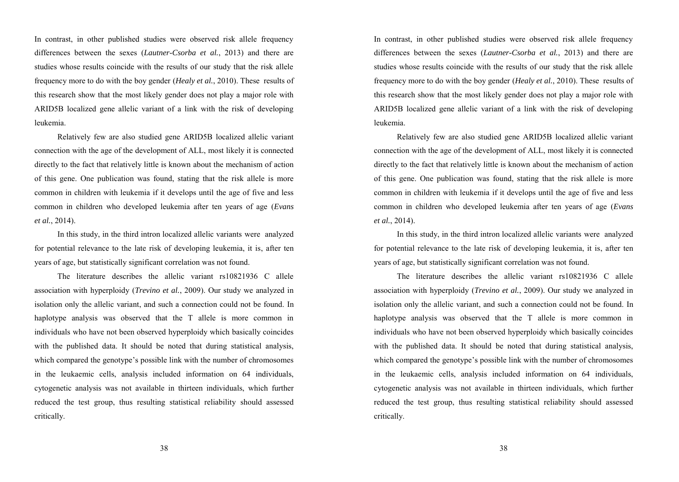In contrast, in other published studies were observed risk allele frequency differences between the sexes (*Lautner-Csorba et al.*, 2013) and there are studies whose results coincide with the results of our study that the risk allele frequency more to do with the boy gender (*Healy et al.*, 2010). These results of this research show that the most likely gender does not play a major role with ARID5B localized gene allelic variant of a link with the risk of developing leukemia.

Relatively few are also studied gene ARID5B localized allelic variant connection with the age of the development of ALL, most likely it is connected directly to the fact that relatively little is known about the mechanism of action of this gene. One publication was found, stating that the risk allele is more common in children with leukemia if it develops until the age of five and less common in children who developed leukemia after ten years of age (*Evans et al.*, 2014).

In this study, in the third intron localized allelic variants were analyzed for potential relevance to the late risk of developing leukemia, it is, after ten years of age, but statistically significant correlation was not found.

The literature describes the allelic variant rs10821936 C allele association with hyperploidy (*Trevino et al.*, 2009). Our study we analyzed in isolation only the allelic variant, and such a connection could not be found. In haplotype analysis was observed that the T allele is more common in individuals who have not been observed hyperploidy which basically coincides with the published data. It should be noted that during statistical analysis, which compared the genotype's possible link with the number of chromosomes in the leukaemic cells, analysis included information on 64 individuals, cytogenetic analysis was not available in thirteen individuals, which further reduced the test group, thus resulting statistical reliability should assessed critically.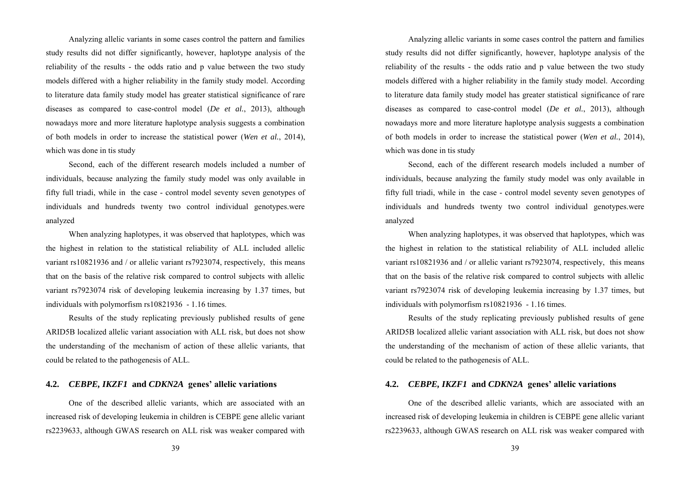Analyzing allelic variants in some cases control the pattern and families study results did not differ significantly, however, haplotype analysis of the reliability of the results - the odds ratio and p value between the two study models differed with a higher reliability in the family study model. According to literature data family study model has greater statistical significance of rare diseases as compared to case-control model (*De et al.*, 2013), although nowadays more and more literature haplotype analysis suggests a combination of both models in order to increase the statistical power (*Wen et al.*, 2014), which was done in tis study

Second, each of the different research models included a number of individuals, because analyzing the family study model was only available in fifty full triadi, while in the case - control model seventy seven genotypes of individuals and hundreds twenty two control individual genotypes.were analyzed

When analyzing haplotypes, it was observed that haplotypes, which was the highest in relation to the statistical reliability of ALL included allelic variant rs10821936 and / or allelic variant rs7923074, respectively, this means that on the basis of the relative risk compared to control subjects with allelic variant rs7923074 risk of developing leukemia increasing by 1.37 times, but individuals with polymorfism rs10821936 - 1.16 times.

Results of the study replicating previously published results of gene ARID5B localized allelic variant association with ALL risk, but does not show the understanding of the mechanism of action of these allelic variants, that could be related to the pathogenesis of ALL.

# **4.2.** *CEBPE, IKZF1* **and** *CDKN2A* **genes' allelic variations**

One of the described allelic variants, which are associated with an increased risk of developing leukemia in children is CEBPE gene allelic variant rs2239633, although GWAS research on ALL risk was weaker compared with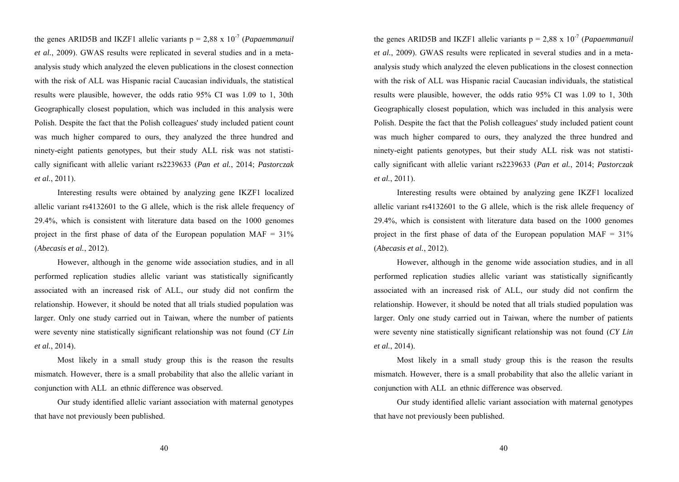the genes ARID5B and IKZF1 allelic variants  $p = 2.88 \times 10^{-7}$  (*Papaemmanuil et al.*, 2009). GWAS results were replicated in several studies and in a metaanalysis study which analyzed the eleven publications in the closest connection with the risk of ALL was Hispanic racial Caucasian individuals, the statistical results were plausible, however, the odds ratio 95% CI was 1.09 to 1, 30th Geographically closest population, which was included in this analysis were Polish. Despite the fact that the Polish colleagues' study included patient count was much higher compared to ours, they analyzed the three hundred and ninety-eight patients genotypes, but their study ALL risk was not statistically significant with allelic variant rs2239633 (*Pan et al.*, 2014; *Pastorczak et al.*, 2011).

Interesting results were obtained by analyzing gene IKZF1 localized allelic variant rs4132601 to the G allele, which is the risk allele frequency of 29.4%, which is consistent with literature data based on the 1000 genomes project in the first phase of data of the European population  $MAF = 31\%$ (*Abecasis et al.*, 2012).

However, although in the genome wide association studies, and in all performed replication studies allelic variant was statistically significantly associated with an increased risk of ALL, our study did not confirm the relationship. However, it should be noted that all trials studied population was larger. Only one study carried out in Taiwan, where the number of patients were seventy nine statistically significant relationship was not found (*CY Lin et al.*, 2014).

Most likely in a small study group this is the reason the results mismatch. However, there is a small probability that also the allelic variant in conjunction with ALL an ethnic difference was observed.

Our study identified allelic variant association with maternal genotypes that have not previously been published.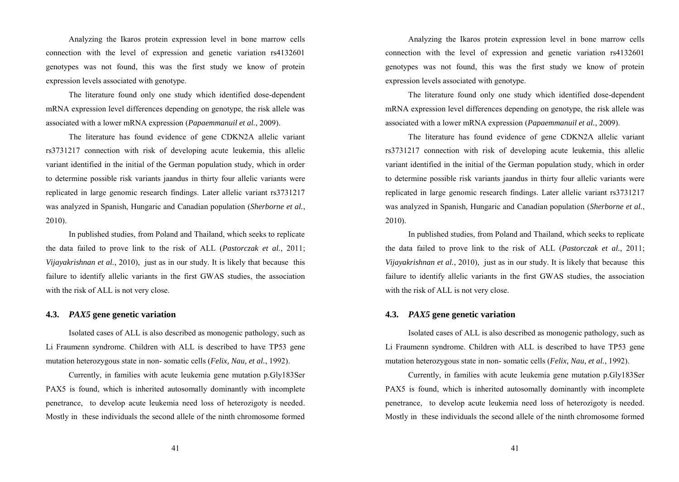Analyzing the Ikaros protein expression level in bone marrow cells connection with the level of expression and genetic variation rs4132601 genotypes was not found, this was the first study we know of protein expression levels associated with genotype.

The literature found only one study which identified dose-dependent mRNA expression level differences depending on genotype, the risk allele was associated with a lower mRNA expression (*Papaemmanuil et al.*, 2009).

The literature has found evidence of gene CDKN2A allelic variant rs3731217 connection with risk of developing acute leukemia, this allelic variant identified in the initial of the German population study, which in order to determine possible risk variants jaandus in thirty four allelic variants were replicated in large genomic research findings. Later allelic variant rs3731217 was analyzed in Spanish, Hungaric and Canadian population (*Sherborne et al.*, 2010).

In published studies, from Poland and Thailand, which seeks to replicate the data failed to prove link to the risk of ALL (*Pastorczak et al.*, 2011; *Vijayakrishnan et al.*, 2010), just as in our study. It is likely that because this failure to identify allelic variants in the first GWAS studies, the association with the risk of ALL is not very close.

## **4.3.** *PAX5* **gene genetic variation**

Isolated cases of ALL is also described as monogenic pathology, such as Li Fraumenn syndrome. Children with ALL is described to have TP53 gene mutation heterozygous state in non- somatic cells (*Felix, Nau, et al.*, 1992).

Currently, in families with acute leukemia gene mutation p.Gly183Ser PAX5 is found, which is inherited autosomally dominantly with incomplete penetrance, to develop acute leukemia need loss of heterozigoty is needed. Mostly in these individuals the second allele of the ninth chromosome formed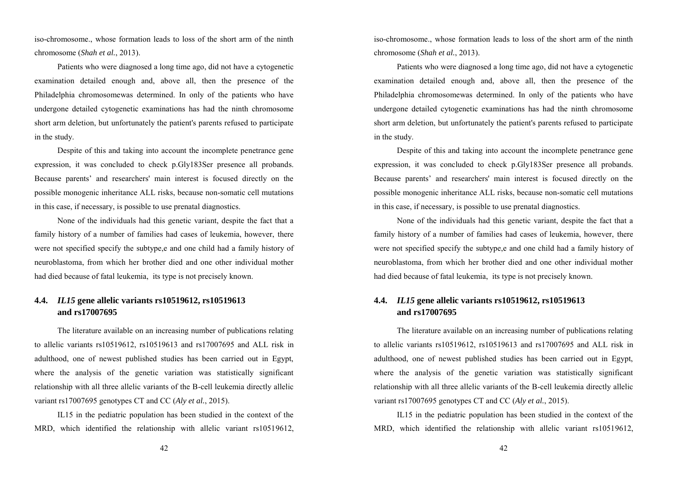iso-chromosome., whose formation leads to loss of the short arm of the ninth chromosome (*Shah et al.*, 2013).

Patients who were diagnosed a long time ago, did not have a cytogenetic examination detailed enough and, above all, then the presence of the Philadelphia chromosomewas determined. In only of the patients who have undergone detailed cytogenetic examinations has had the ninth chromosome short arm deletion, but unfortunately the patient's parents refused to participate in the study.

Despite of this and taking into account the incomplete penetrance gene expression, it was concluded to check p.Gly183Ser presence all probands. Because parents' and researchers' main interest is focused directly on the possible monogenic inheritance ALL risks, because non-somatic cell mutations in this case, if necessary, is possible to use prenatal diagnostics.

None of the individuals had this genetic variant, despite the fact that a family history of a number of families had cases of leukemia, however, there were not specified specify the subtype,e and one child had a family history of neuroblastoma, from which her brother died and one other individual mother had died because of fatal leukemia, its type is not precisely known.

# **4.4.** *IL15* **gene allelic variants rs10519612, rs10519613 and rs17007695**

The literature available on an increasing number of publications relating to allelic variants rs10519612, rs10519613 and rs17007695 and ALL risk in adulthood, one of newest published studies has been carried out in Egypt, where the analysis of the genetic variation was statistically significant relationship with all three allelic variants of the B-cell leukemia directly allelic variant rs17007695 genotypes CT and CC (*Aly et al.*, 2015).

IL15 in the pediatric population has been studied in the context of the MRD, which identified the relationship with allelic variant rs10519612,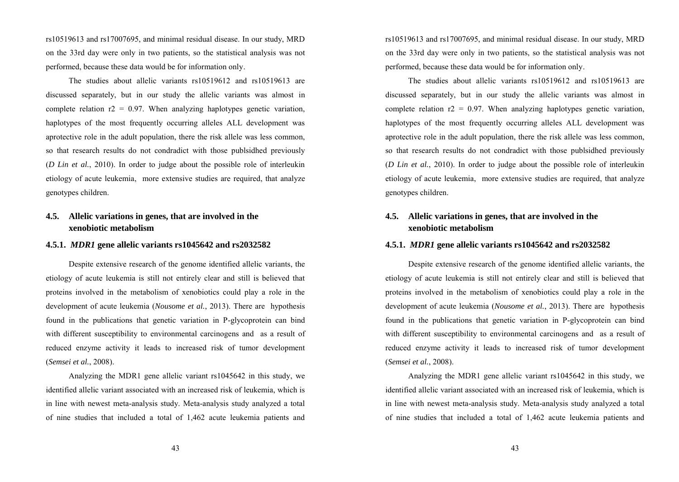rs10519613 and rs17007695, and minimal residual disease. In our study, MRD on the 33rd day were only in two patients, so the statistical analysis was not performed, because these data would be for information only.

The studies about allelic variants rs10519612 and rs10519613 are discussed separately, but in our study the allelic variants was almost in complete relation  $r2 = 0.97$ . When analyzing haplotypes genetic variation, haplotypes of the most frequently occurring alleles ALL development was aprotective role in the adult population, there the risk allele was less common, so that research results do not condradict with those publsidhed previously (*D Lin et al.*, 2010). In order to judge about the possible role of interleukin etiology of acute leukemia, more extensive studies are required, that analyze genotypes children.

# **4.5. Allelic variations in genes, that are involved in the xenobiotic metabolism**

## **4.5.1.** *MDR1* **gene allelic variants rs1045642 and rs2032582**

Despite extensive research of the genome identified allelic variants, the etiology of acute leukemia is still not entirely clear and still is believed that proteins involved in the metabolism of xenobiotics could play a role in the development of acute leukemia (*Nousome et al.*, 2013). There are hypothesis found in the publications that genetic variation in P-glycoprotein can bind with different susceptibility to environmental carcinogens and as a result of reduced enzyme activity it leads to increased risk of tumor development (*Semsei et al.*, 2008).

Analyzing the MDR1 gene allelic variant rs1045642 in this study, we identified allelic variant associated with an increased risk of leukemia, which is in line with newest meta-analysis study. Meta-analysis study analyzed a total of nine studies that included a total of 1,462 acute leukemia patients and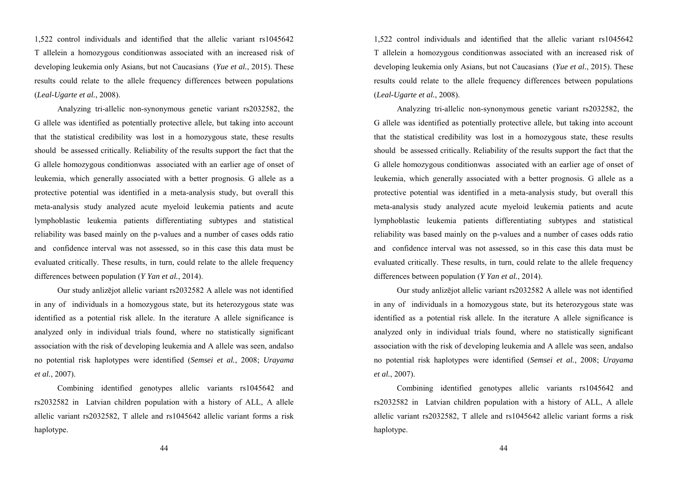1,522 control individuals and identified that the allelic variant rs1045642 T allelein a homozygous conditionwas associated with an increased risk of developing leukemia only Asians, but not Caucasians (*Yue et al.*, 2015). These results could relate to the allele frequency differences between populations (*Leal-Ugarte et al.*, 2008).

Analyzing tri-allelic non-synonymous genetic variant rs2032582, the G allele was identified as potentially protective allele, but taking into account that the statistical credibility was lost in a homozygous state, these results should be assessed critically. Reliability of the results support the fact that the G allele homozygous conditionwas associated with an earlier age of onset of leukemia, which generally associated with a better prognosis. G allele as a protective potential was identified in a meta-analysis study, but overall this meta-analysis study analyzed acute myeloid leukemia patients and acute lymphoblastic leukemia patients differentiating subtypes and statistical reliability was based mainly on the p-values and a number of cases odds ratio and confidence interval was not assessed, so in this case this data must be evaluated critically. These results, in turn, could relate to the allele frequency differences between population (*Y Yan et al.*, 2014).

Our study anlizējot allelic variant rs2032582 A allele was not identified in any of individuals in a homozygous state, but its heterozygous state was identified as a potential risk allele. In the iterature A allele significance is analyzed only in individual trials found, where no statistically significant association with the risk of developing leukemia and A allele was seen, andalso no potential risk haplotypes were identified (*Semsei et al.*, 2008; *Urayama et al.*, 2007).

Combining identified genotypes allelic variants rs1045642 and rs2032582 in Latvian children population with a history of ALL, A allele allelic variant rs2032582, T allele and rs1045642 allelic variant forms a risk haplotype.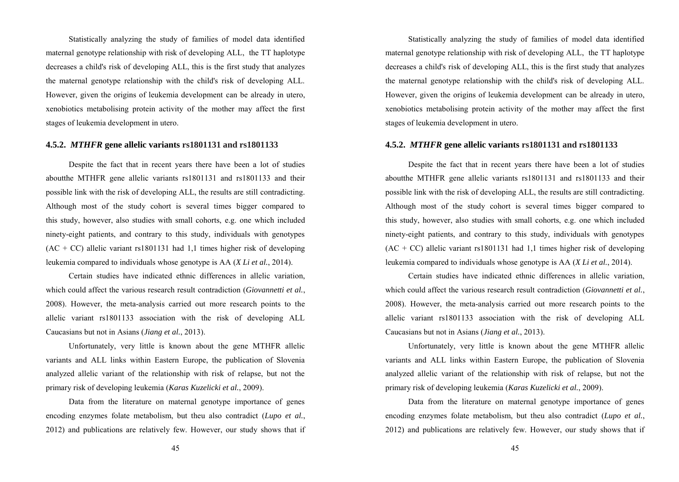Statistically analyzing the study of families of model data identified maternal genotype relationship with risk of developing ALL, the TT haplotype decreases a child's risk of developing ALL, this is the first study that analyzes the maternal genotype relationship with the child's risk of developing ALL. However, given the origins of leukemia development can be already in utero, xenobiotics metabolising protein activity of the mother may affect the first stages of leukemia development in utero.

## **4.5.2.** *MTHFR* **gene allelic variants rs1801131 and rs1801133**

Despite the fact that in recent years there have been a lot of studies aboutthe MTHFR gene allelic variants rs1801131 and rs1801133 and their possible link with the risk of developing ALL, the results are still contradicting. Although most of the study cohort is several times bigger compared to this study, however, also studies with small cohorts, e.g. one which included ninety-eight patients, and contrary to this study, individuals with genotypes  $(AC + CC)$  allelic variant rs1801131 had 1.1 times higher risk of developing leukemia compared to individuals whose genotype is AA (*X Li et al.*, 2014).

Certain studies have indicated ethnic differences in allelic variation, which could affect the various research result contradiction (*Giovannetti et al.*, 2008). However, the meta-analysis carried out more research points to the allelic variant rs1801133 association with the risk of developing ALL Caucasians but not in Asians (*Jiang et al.*, 2013).

Unfortunately, very little is known about the gene MTHFR allelic variants and ALL links within Eastern Europe, the publication of Slovenia analyzed allelic variant of the relationship with risk of relapse, but not the primary risk of developing leukemia (*Karas Kuzelicki et al.*, 2009).

Data from the literature on maternal genotype importance of genes encoding enzymes folate metabolism, but theu also contradict (*Lupo et al.*, 2012) and publications are relatively few. However, our study shows that if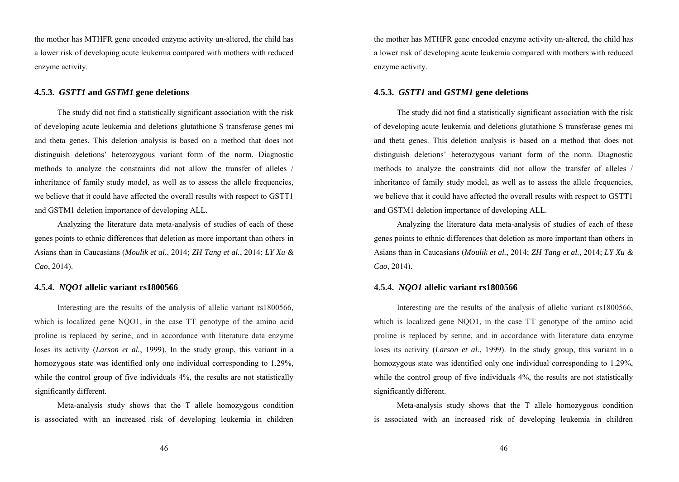the mother has MTHFR gene encoded enzyme activity un-altered, the child has a lower risk of developing acute leukemia compared with mothers with reduced enzyme activity.

## **4.5.3.** *GSTT1* **and** *GSTM1* **gene deletions**

The study did not find a statistically significant association with the risk of developing acute leukemia and deletions glutathione S transferase genes mi and theta genes. This deletion analysis is based on a method that does not distinguish deletions' heterozygous variant form of the norm. Diagnostic methods to analyze the constraints did not allow the transfer of alleles / inheritance of family study model, as well as to assess the allele frequencies, we believe that it could have affected the overall results with respect to GSTT1 and GSTM1 deletion importance of developing ALL.

Analyzing the literature data meta-analysis of studies of each of these genes points to ethnic differences that deletion as more important than others in Asians than in Caucasians (*Moulik et al.*, 2014; *ZH Tang et al.*, 2014; *LY Xu & Cao*, 2014).

## **4.5.4.** *NQO1* **allelic variant rs1800566**

Interesting are the results of the analysis of allelic variant rs1800566, which is localized gene NOO1, in the case TT genotype of the amino acid proline is replaced by serine, and in accordance with literature data enzyme loses its activity (*Larson et al.*, 1999). In the study group, this variant in a homozygous state was identified only one individual corresponding to 1.29%, while the control group of five individuals 4%, the results are not statistically significantly different.

Meta-analysis study shows that the T allele homozygous condition is associated with an increased risk of developing leukemia in children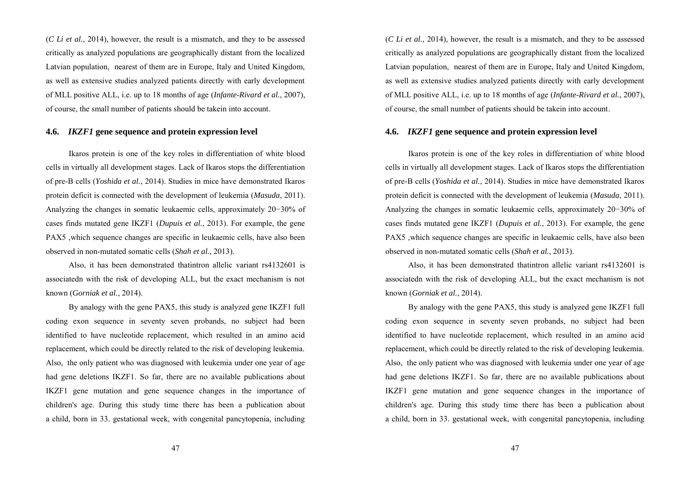(*C Li et al.*, 2014), however, the result is a mismatch, and they to be assessed critically as analyzed populations are geographically distant from the localized Latvian population, nearest of them are in Europe, Italy and United Kingdom, as well as extensive studies analyzed patients directly with early development of MLL positive ALL, i.e. up to 18 months of age (*Infante-Rivard et al.*, 2007), of course, the small number of patients should be takein into account.

## **4.6.** *IKZF1* **gene sequence and protein expression level**

Ikaros protein is one of the key roles in differentiation of white blood cells in virtually all development stages. Lack of Ikaros stops the differentiation of pre-B cells (*Yoshida et al.*, 2014). Studies in mice have demonstrated Ikaros protein deficit is connected with the development of leukemia (*Masuda*, 2011). Analyzing the changes in somatic leukaemic cells, approximately 20−30% of cases finds mutated gene IKZF1 (*Dupuis et al.*, 2013). For example, the gene PAX5 ,which sequence changes are specific in leukaemic cells, have also been observed in non-mutated somatic cells (*Shah et al.*, 2013).

Also, it has been demonstrated thatintron allelic variant rs4132601 is associatedn with the risk of developing ALL, but the exact mechanism is not known (*Gorniak et al.*, 2014).

By analogy with the gene PAX5, this study is analyzed gene IKZF1 full coding exon sequence in seventy seven probands, no subject had been identified to have nucleotide replacement, which resulted in an amino acid replacement, which could be directly related to the risk of developing leukemia. Also, the only patient who was diagnosed with leukemia under one year of age had gene deletions IKZF1. So far, there are no available publications about IKZF1 gene mutation and gene sequence changes in the importance of children's age. During this study time there has been a publication about a child, born in 33. gestational week, with congenital pancytopenia, including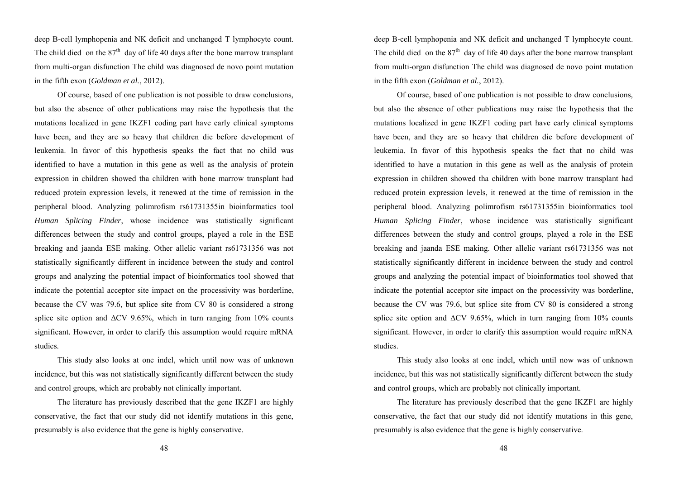deep B-cell lymphopenia and NK deficit and unchanged T lymphocyte count. The child died on the  $87<sup>th</sup>$  day of life 40 days after the bone marrow transplant from multi-organ disfunction The child was diagnosed de novo point mutation in the fifth exon (*Goldman et al.*, 2012).

Of course, based of one publication is not possible to draw conclusions, but also the absence of other publications may raise the hypothesis that the mutations localized in gene IKZF1 coding part have early clinical symptoms have been, and they are so heavy that children die before development of leukemia. In favor of this hypothesis speaks the fact that no child was identified to have a mutation in this gene as well as the analysis of protein expression in children showed tha children with bone marrow transplant had reduced protein expression levels, it renewed at the time of remission in the peripheral blood. Analyzing polimrofism rs61731355in bioinformatics tool *Human Splicing Finder*, whose incidence was statistically significant differences between the study and control groups, played a role in the ESE breaking and jaanda ESE making. Other allelic variant rs61731356 was not statistically significantly different in incidence between the study and control groups and analyzing the potential impact of bioinformatics tool showed that indicate the potential acceptor site impact on the processivity was borderline, because the CV was 79.6, but splice site from CV 80 is considered a strong splice site option and  $\Delta$ CV 9.65%, which in turn ranging from 10% counts significant. However, in order to clarify this assumption would require mRNA studies.

This study also looks at one indel, which until now was of unknown incidence, but this was not statistically significantly different between the study and control groups, which are probably not clinically important.

The literature has previously described that the gene IKZF1 are highly conservative, the fact that our study did not identify mutations in this gene, presumably is also evidence that the gene is highly conservative.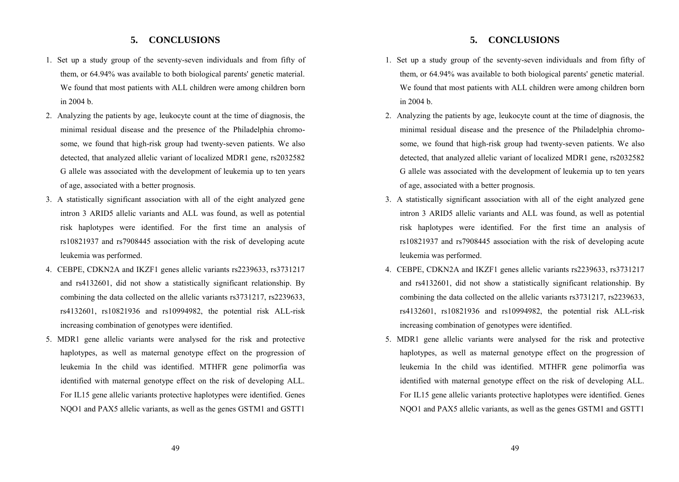# **5. CONCLUSIONS**

- 1. Set up a study group of the seventy-seven individuals and from fifty of them, or 64.94% was available to both biological parents' genetic material. We found that most patients with ALL children were among children born in 2004 b.
- 2. Analyzing the patients by age, leukocyte count at the time of diagnosis, the minimal residual disease and the presence of the Philadelphia chromosome, we found that high-risk group had twenty-seven patients. We also detected, that analyzed allelic variant of localized MDR1 gene, rs2032582 G allele was associated with the development of leukemia up to ten years of age, associated with a better prognosis.
- 3. A statistically significant association with all of the eight analyzed gene intron 3 ARID5 allelic variants and ALL was found, as well as potential risk haplotypes were identified. For the first time an analysis of rs10821937 and rs7908445 association with the risk of developing acute leukemia was performed.
- 4. CEBPE, CDKN2A and IKZF1 genes allelic variants rs2239633, rs3731217 and rs4132601, did not show a statistically significant relationship. By combining the data collected on the allelic variants rs3731217, rs2239633, rs4132601, rs10821936 and rs10994982, the potential risk ALL-risk increasing combination of genotypes were identified.
- 5. MDR1 gene allelic variants were analysed for the risk and protective haplotypes, as well as maternal genotype effect on the progression of leukemia In the child was identified. MTHFR gene polimorfia was identified with maternal genotype effect on the risk of developing ALL. For IL15 gene allelic variants protective haplotypes were identified. Genes NQO1 and PAX5 allelic variants, as well as the genes GSTM1 and GSTT1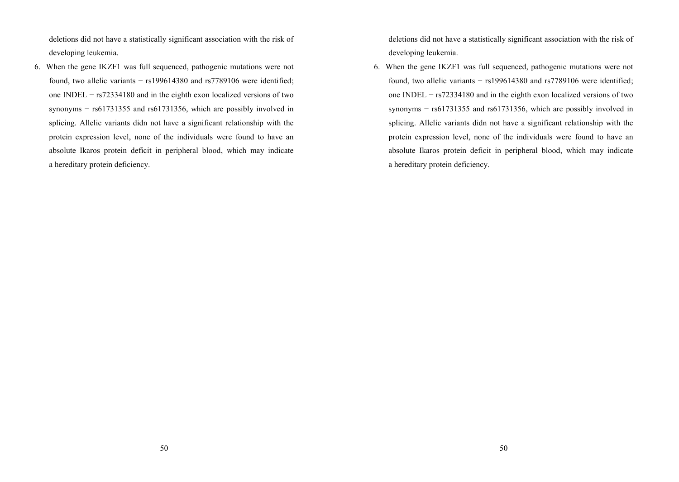deletions did not have a statistically significant association with the risk of developing leukemia.

6. When the gene IKZF1 was full sequenced, pathogenic mutations were not found, two allelic variants − rs199614380 and rs7789106 were identified; one INDEL − rs72334180 and in the eighth exon localized versions of two synonyms – rs61731355 and rs61731356, which are possibly involved in splicing. Allelic variants didn not have a significant relationship with the protein expression level, none of the individuals were found to have an absolute Ikaros protein deficit in peripheral blood, which may indicate a hereditary protein deficiency.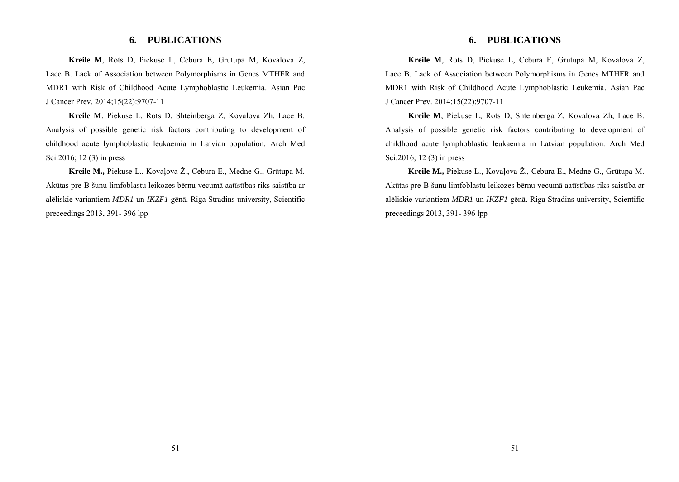# **6. PUBLICATIONS**

**Kreile M**, Rots D, Piekuse L, Cebura E, Grutupa M, Kovalova Z, Lace B. Lack of Association between Polymorphisms in Genes MTHFR and MDR1 with Risk of Childhood Acute Lymphoblastic Leukemia. Asian Pac J Cancer Prev. 2014;15(22):9707-11

**Kreile M**, Piekuse L, Rots D, Shteinberga Z, Kovalova Zh, Lace B. Analysis of possible genetic risk factors contributing to development of childhood acute lymphoblastic leukaemia in Latvian population. Arch Med Sci.2016; 12 (3) in press

**Kreile M.,** Piekuse L., Kovaļova Ž., Cebura E., Medne G., Grūtupa M. Akūtas pre-B šunu limfoblastu leikozes bērnu vecumā aatīstības riks saistība ar alēliskie variantiem *MDR1* un *IKZF1* gēnā. Riga Stradins university, Scientific preceedings 2013, 391- 396 lpp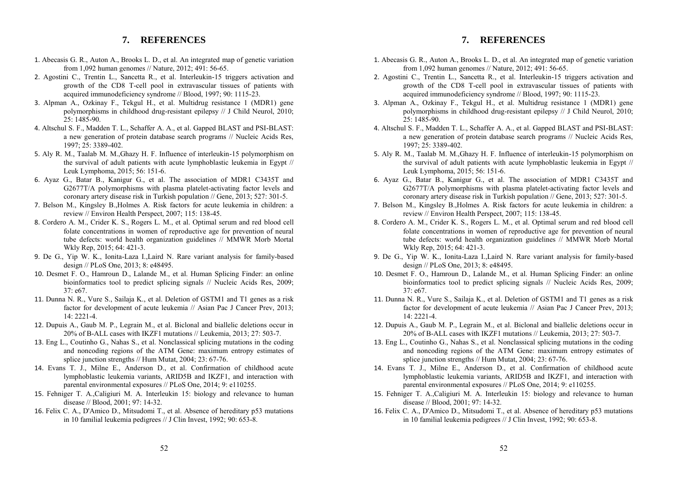# **7. REFERENCES**

- 1. Abecasis G. R., Auton A., Brooks L. D., et al. An integrated map of genetic variation from 1,092 human genomes // Nature, 2012; 491: 56-65.
- 2. Agostini C., Trentin L., Sancetta R., et al. Interleukin-15 triggers activation and growth of the CD8 T-cell pool in extravascular tissues of patients with acquired immunodeficiency syndrome // Blood, 1997; 90: 1115-23.
- 3. Alpman A., Ozkinay F., Tekgul H., et al. Multidrug resistance 1 (MDR1) gene polymorphisms in childhood drug-resistant epilepsy // J Child Neurol, 2010;  $25: 1485 - 90.$
- 4. Altschul S. F., Madden T. L., Schaffer A. A., et al. Gapped BLAST and PSI-BLAST: a new generation of protein database search programs // Nucleic Acids Res, 1997; 25: 3389-402.
- 5. Aly R. M., Taalab M. M.,Ghazy H. F. Influence of interleukin-15 polymorphism on the survival of adult patients with acute lymphoblastic leukemia in Egypt // Leuk Lymphoma, 2015; 56: 151-6.
- 6. Ayaz G., Batar B., Kanigur G., et al. The association of MDR1 C3435T and G2677T/A polymorphisms with plasma platelet-activating factor levels and coronary artery disease risk in Turkish population // Gene, 2013; 527: 301-5.
- 7. Belson M., Kingsley B.,Holmes A. Risk factors for acute leukemia in children: a review // Environ Health Perspect, 2007; 115: 138-45.
- 8. Cordero A. M., Crider K. S., Rogers L. M., et al. Optimal serum and red blood cell folate concentrations in women of reproductive age for prevention of neural tube defects: world health organization guidelines // MMWR Morb Mortal Wkly Rep, 2015; 64: 421-3.
- 9. De G., Yip W. K., Ionita-Laza I.,Laird N. Rare variant analysis for family-based design // PLoS One, 2013; 8: e48495.
- 10. Desmet F. O., Hamroun D., Lalande M., et al. Human Splicing Finder: an online bioinformatics tool to predict splicing signals // Nucleic Acids Res, 2009;  $37· e67$
- 11. Dunna N. R., Vure S., Sailaja K., et al. Deletion of GSTM1 and T1 genes as a risk factor for development of acute leukemia // Asian Pac J Cancer Prev, 2013; 14: 2221-4.
- 12. Dupuis A., Gaub M. P., Legrain M., et al. Biclonal and biallelic deletions occur in 20% of B-ALL cases with IKZF1 mutations // Leukemia, 2013; 27: 503-7.
- 13. Eng L., Coutinho G., Nahas S., et al. Nonclassical splicing mutations in the coding and noncoding regions of the ATM Gene: maximum entropy estimates of splice junction strengths // Hum Mutat, 2004; 23: 67-76.
- 14. Evans T. J., Milne E., Anderson D., et al. Confirmation of childhood acute lymphoblastic leukemia variants, ARID5B and IKZF1, and interaction with parental environmental exposures // PLoS One, 2014; 9: e110255.
- 15. Fehniger T. A.,Caligiuri M. A. Interleukin 15: biology and relevance to human disease // Blood, 2001; 97: 14-32.
- 16. Felix C. A., D'Amico D., Mitsudomi T., et al. Absence of hereditary p53 mutations in 10 familial leukemia pedigrees // J Clin Invest, 1992; 90: 653-8.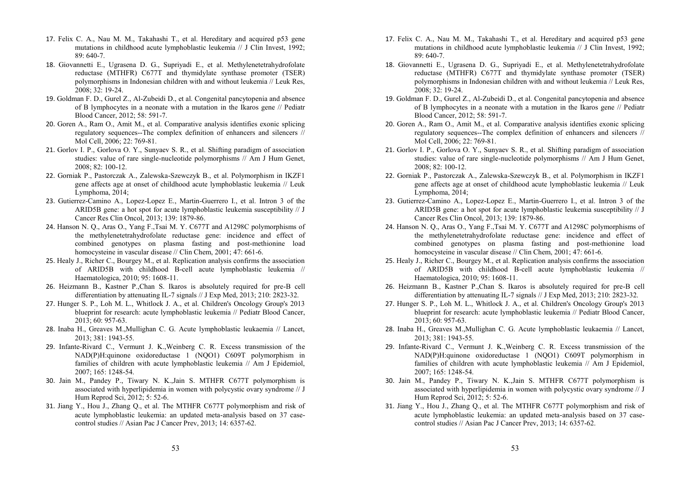- 17. Felix C. A., Nau M. M., Takahashi T., et al. Hereditary and acquired p53 gene mutations in childhood acute lymphoblastic leukemia // J Clin Invest, 1992; 89: 640-7.
- 18. Giovannetti E., Ugrasena D. G., Supriyadi E., et al. Methylenetetrahydrofolate reductase (MTHFR) C677T and thymidylate synthase promoter (TSER) polymorphisms in Indonesian children with and without leukemia // Leuk Res.  $2008: 32: 19-24.$
- 19. Goldman F. D., Gurel Z., Al-Zubeidi D., et al. Congenital pancytopenia and absence of B lymphocytes in a neonate with a mutation in the Ikaros gene // Pediatr Blood Cancer, 2012; 58: 591-7.
- 20. Goren A., Ram O., Amit M., et al. Comparative analysis identifies exonic splicing regulatory sequences--The complex definition of enhancers and silencers // Mol Cell, 2006; 22: 769-81.
- 21. Gorlov I. P., Gorlova O. Y., Sunyaev S. R., et al. Shifting paradigm of association studies: value of rare single-nucleotide polymorphisms // Am J Hum Genet, 2008; 82: 100-12.
- 22. Gorniak P., Pastorczak A., Zalewska-Szewczyk B., et al. Polymorphism in IKZF1 gene affects age at onset of childhood acute lymphoblastic leukemia // Leuk Lymphoma, 2014;
- 23. Gutierrez-Camino A., Lopez-Lopez E., Martin-Guerrero I., et al. Intron 3 of the ARID5B gene: a hot spot for acute lymphoblastic leukemia susceptibility // J Cancer Res Clin Oncol, 2013; 139: 1879-86.
- 24. Hanson N. Q., Aras O., Yang F.,Tsai M. Y. C677T and A1298C polymorphisms of the methylenetetrahydrofolate reductase gene: incidence and effect of combined genotypes on plasma fasting and post-methionine load homocysteine in vascular disease // Clin Chem, 2001; 47: 661-6.
- 25. Healy J., Richer C., Bourgey M., et al. Replication analysis confirms the association of ARID5B with childhood B-cell acute lymphoblastic leukemia // Haematologica, 2010; 95: 1608-11.
- 26. Heizmann B., Kastner P.,Chan S. Ikaros is absolutely required for pre-B cell differentiation by attenuating IL-7 signals // J Exp Med, 2013; 210: 2823-32.
- 27. Hunger S. P., Loh M. L., Whitlock J. A., et al. Children's Oncology Group's 2013 blueprint for research: acute lymphoblastic leukemia // Pediatr Blood Cancer, 2013; 60: 957-63.
- 28. Inaba H., Greaves M.,Mullighan C. G. Acute lymphoblastic leukaemia // Lancet, 2013; 381: 1943-55.
- 29. Infante-Rivard C., Vermunt J. K.,Weinberg C. R. Excess transmission of the NAD(P)H:quinone oxidoreductase 1 (NOO1) C609T polymorphism in families of children with acute lymphoblastic leukemia // Am J Epidemiol, 2007; 165: 1248-54.
- 30. Jain M., Pandey P., Tiwary N. K.,Jain S. MTHFR C677T polymorphism is associated with hyperlipidemia in women with polycystic ovary syndrome // J Hum Reprod Sci, 2012; 5: 52-6.
- 31. Jiang Y., Hou J., Zhang Q., et al. The MTHFR C677T polymorphism and risk of acute lymphoblastic leukemia: an updated meta-analysis based on 37 casecontrol studies // Asian Pac J Cancer Prev, 2013; 14: 6357-62.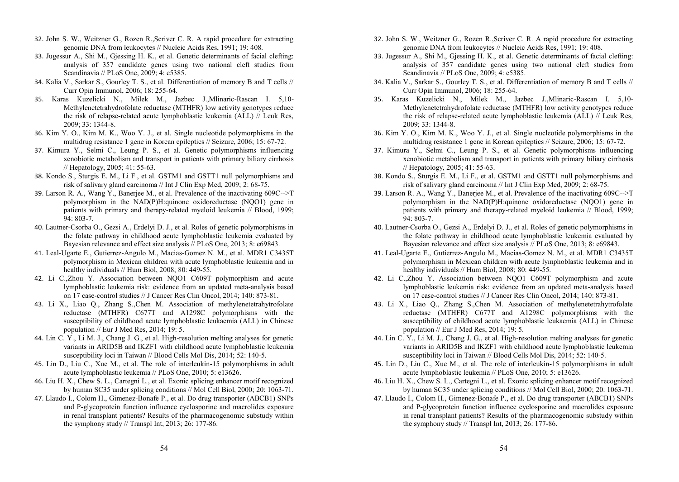- 32. John S. W., Weitzner G., Rozen R.,Scriver C. R. A rapid procedure for extracting genomic DNA from leukocytes // Nucleic Acids Res, 1991; 19: 408.
- 33. Jugessur A., Shi M., Gjessing H. K., et al. Genetic determinants of facial clefting: analysis of 357 candidate genes using two national cleft studies from Scandinavia // PLoS One, 2009; 4: e5385.
- 34. Kalia V., Sarkar S., Gourley T. S., et al. Differentiation of memory B and T cells // Curr Opin Immunol, 2006; 18: 255-64.
- 35. Karas Kuzelicki N., Milek M., Jazbec J.,Mlinaric-Rascan I. 5,10- Methylenetetrahydrofolate reductase (MTHFR) low activity genotypes reduce the risk of relapse-related acute lymphoblastic leukemia (ALL) // Leuk Res, 2009; 33: 1344-8.
- 36. Kim Y. O., Kim M. K., Woo Y. J., et al. Single nucleotide polymorphisms in the multidrug resistance 1 gene in Korean epileptics // Seizure, 2006; 15: 67-72.
- 37. Kimura Y., Selmi C., Leung P. S., et al. Genetic polymorphisms influencing xenobiotic metabolism and transport in patients with primary biliary cirrhosis // Hepatology, 2005; 41: 55-63.
- 38. Kondo S., Sturgis E. M., Li F., et al. GSTM1 and GSTT1 null polymorphisms and risk of salivary gland carcinoma // Int J Clin Exp Med, 2009; 2: 68-75.
- 39. Larson R. A., Wang Y., Banerjee M., et al. Prevalence of the inactivating 609C-->T polymorphism in the NAD(P)H:quinone oxidoreductase (NQO1) gene in patients with primary and therapy-related myeloid leukemia // Blood, 1999;  $94.803 - 7$
- 40. Lautner-Csorba O., Gezsi A., Erdelyi D. J., et al. Roles of genetic polymorphisms in the folate pathway in childhood acute lymphoblastic leukemia evaluated by Bayesian relevance and effect size analysis // PLoS One, 2013; 8: e69843.
- 41. Leal-Ugarte E., Gutierrez-Angulo M., Macias-Gomez N. M., et al. MDR1 C3435T polymorphism in Mexican children with acute lymphoblastic leukemia and in healthy individuals // Hum Biol, 2008; 80: 449-55.
- 42. Li C.,Zhou Y. Association between NQO1 C609T polymorphism and acute lymphoblastic leukemia risk: evidence from an updated meta-analysis based on 17 case-control studies // J Cancer Res Clin Oncol, 2014; 140: 873-81.
- 43. Li X., Liao Q., Zhang S.,Chen M. Association of methylenetetrahytrofolate reductase (MTHFR) C677T and A1298C polymorphisms with the susceptibility of childhood acute lymphoblastic leukaemia (ALL) in Chinese population // Eur J Med Res, 2014; 19: 5.
- 44. Lin C. Y., Li M. J., Chang J. G., et al. High-resolution melting analyses for genetic variants in ARID5B and IKZF1 with childhood acute lymphoblastic leukemia susceptibility loci in Taiwan // Blood Cells Mol Dis, 2014; 52: 140-5.
- 45. Lin D., Liu C., Xue M., et al. The role of interleukin-15 polymorphisms in adult acute lymphoblastic leukemia // PLoS One, 2010; 5: e13626.
- 46. Liu H. X., Chew S. L., Cartegni L., et al. Exonic splicing enhancer motif recognized by human SC35 under splicing conditions // Mol Cell Biol, 2000; 20: 1063-71.
- 47. Llaudo I., Colom H., Gimenez-Bonafe P., et al. Do drug transporter (ABCB1) SNPs and P-glycoprotein function influence cyclosporine and macrolides exposure in renal transplant patients? Results of the pharmacogenomic substudy within the symphony study  $//$  Transpl Int, 2013; 26: 177-86.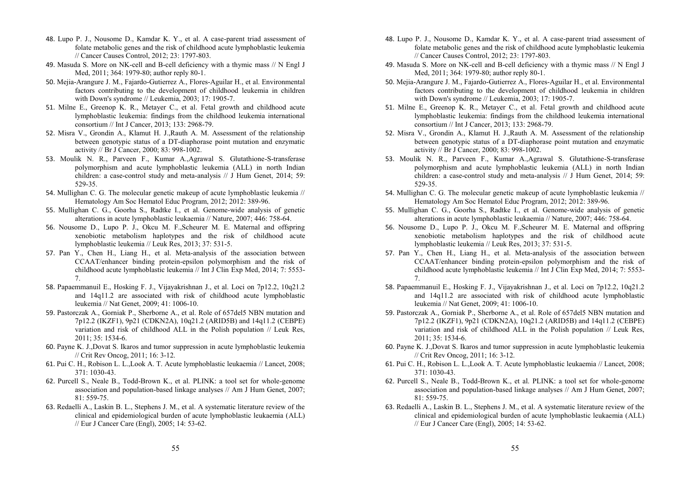- 48. Lupo P. J., Nousome D., Kamdar K. Y., et al. A case-parent triad assessment of folate metabolic genes and the risk of childhood acute lymphoblastic leukemia // Cancer Causes Control, 2012; 23: 1797-803.
- 49. Masuda S. More on NK-cell and B-cell deficiency with a thymic mass // N Engl J Med, 2011; 364: 1979-80; author reply 80-1.
- 50. Mejia-Arangure J. M., Fajardo-Gutierrez A., Flores-Aguilar H., et al. Environmental factors contributing to the development of childhood leukemia in children with Down's syndrome // Leukemia, 2003; 17: 1905-7.
- 51. Milne E., Greenop K. R., Metayer C., et al. Fetal growth and childhood acute lymphoblastic leukemia: findings from the childhood leukemia international consortium // Int J Cancer, 2013; 133: 2968-79.
- 52. Misra V., Grondin A., Klamut H. J.,Rauth A. M. Assessment of the relationship between genotypic status of a DT-diaphorase point mutation and enzymatic activity // Br J Cancer, 2000; 83: 998-1002.
- 53. Moulik N. R., Parveen F., Kumar A.,Agrawal S. Glutathione-S-transferase polymorphism and acute lymphoblastic leukemia (ALL) in north Indian children: a case-control study and meta-analysis // J Hum Genet, 2014; 59: 529-35.
- 54. Mullighan C. G. The molecular genetic makeup of acute lymphoblastic leukemia // Hematology Am Soc Hematol Educ Program, 2012; 2012: 389-96.
- 55. Mullighan C. G., Goorha S., Radtke I., et al. Genome-wide analysis of genetic alterations in acute lymphoblastic leukaemia // Nature, 2007; 446: 758-64.
- 56. Nousome D., Lupo P. J., Okcu M. F.,Scheurer M. E. Maternal and offspring xenobiotic metabolism haplotypes and the risk of childhood acute lymphoblastic leukemia // Leuk Res, 2013; 37: 531-5.
- 57. Pan Y., Chen H., Liang H., et al. Meta-analysis of the association between CCAAT/enhancer binding protein-epsilon polymorphism and the risk of childhood acute lymphoblastic leukemia // Int J Clin Exp Med, 2014; 7: 5553- 7.
- 58. Papaemmanuil E., Hosking F. J., Vijayakrishnan J., et al. Loci on 7p12.2, 10q21.2 and 14q11.2 are associated with risk of childhood acute lymphoblastic leukemia // Nat Genet, 2009; 41: 1006-10.
- 59. Pastorczak A., Gorniak P., Sherborne A., et al. Role of 657del5 NBN mutation and 7p12.2 (IKZF1), 9p21 (CDKN2A), 10q21.2 (ARID5B) and 14q11.2 (CEBPE) variation and risk of childhood ALL in the Polish population // Leuk Res, 2011; 35: 1534-6.
- 60. Payne K. J.,Dovat S. Ikaros and tumor suppression in acute lymphoblastic leukemia // Crit Rev Oncog, 2011; 16: 3-12.
- 61. Pui C. H., Robison L. L.,Look A. T. Acute lymphoblastic leukaemia // Lancet, 2008; 371: 1030-43.
- 62. Purcell S., Neale B., Todd-Brown K., et al. PLINK: a tool set for whole-genome association and population-based linkage analyses // Am J Hum Genet, 2007; 81: 559-75.
- 63. Redaelli A., Laskin B. L., Stephens J. M., et al. A systematic literature review of the clinical and epidemiological burden of acute lymphoblastic leukaemia (ALL) // Eur J Cancer Care (Engl), 2005; 14: 53-62.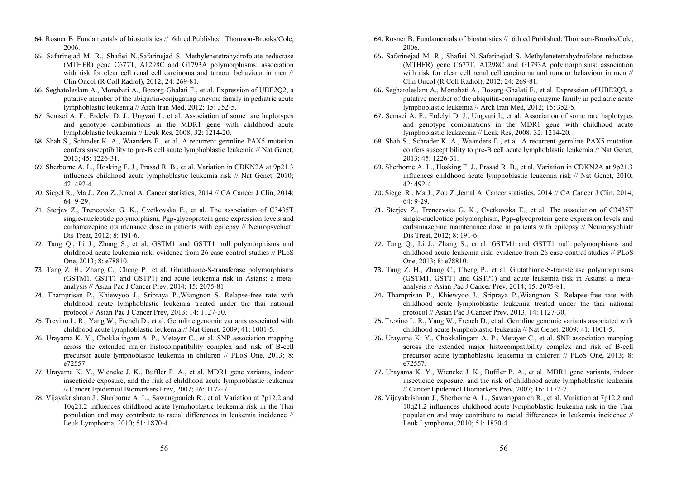- 64. Rosner B. Fundamentals of biostatistics // 6th ed.Published: Thomson-Brooks/Cole, 2006. -
- 65. Safarinejad M. R., Shafiei N.,Safarinejad S. Methylenetetrahydrofolate reductase (MTHFR) gene C677T, A1298C and G1793A polymorphisms: association with risk for clear cell renal cell carcinoma and tumour behaviour in men // Clin Oncol (R Coll Radiol), 2012; 24: 269-81.
- 66. Seghatoleslam A., Monabati A., Bozorg-Ghalati F., et al. Expression of UBE2Q2, a putative member of the ubiquitin-conjugating enzyme family in pediatric acute lymphoblastic leukemia // Arch Iran Med, 2012; 15: 352-5.
- 67. Semsei A. F., Erdelyi D. J., Ungvari I., et al. Association of some rare haplotypes and genotype combinations in the MDR1 gene with childhood acute lymphoblastic leukaemia // Leuk Res, 2008; 32: 1214-20.
- 68. Shah S., Schrader K. A., Waanders E., et al. A recurrent germline PAX5 mutation confers susceptibility to pre-B cell acute lymphoblastic leukemia // Nat Genet, 2013; 45: 1226-31.
- 69. Sherborne A. L., Hosking F. J., Prasad R. B., et al. Variation in CDKN2A at 9p21.3 influences childhood acute lymphoblastic leukemia risk // Nat Genet, 2010; 42: 492-4.
- 70. Siegel R., Ma J., Zou Z.,Jemal A. Cancer statistics, 2014 // CA Cancer J Clin, 2014; 64: 9-29.
- 71. Sterjev Z., Trencevska G. K., Cvetkovska E., et al. The association of C3435T single-nucleotide polymorphism, Pgp-glycoprotein gene expression levels and carbamazepine maintenance dose in patients with epilepsy // Neuropsychiatr Dis Treat, 2012; 8: 191-6.
- 72. Tang Q., Li J., Zhang S., et al. GSTM1 and GSTT1 null polymorphisms and childhood acute leukemia risk: evidence from 26 case-control studies // PLoS One, 2013; 8: e78810.
- 73. Tang Z. H., Zhang C., Cheng P., et al. Glutathione-S-transferase polymorphisms (GSTM1, GSTT1 and GSTP1) and acute leukemia risk in Asians: a metaanalysis // Asian Pac J Cancer Prev, 2014; 15: 2075-81.
- 74. Tharnprisan P., Khiewyoo J., Sripraya P.,Wiangnon S. Relapse-free rate with childhood acute lymphoblastic leukemia treated under the thai national protocol // Asian Pac J Cancer Prev, 2013; 14: 1127-30.
- 75. Trevino L. R., Yang W., French D., et al. Germline genomic variants associated with childhood acute lymphoblastic leukemia // Nat Genet, 2009; 41: 1001-5.
- 76. Urayama K. Y., Chokkalingam A. P., Metayer C., et al. SNP association mapping across the extended major histocompatibility complex and risk of B-cell precursor acute lymphoblastic leukemia in children // PLoS One, 2013; 8: e72557.
- 77. Urayama K. Y., Wiencke J. K., Buffler P. A., et al. MDR1 gene variants, indoor insecticide exposure, and the risk of childhood acute lymphoblastic leukemia // Cancer Epidemiol Biomarkers Prev, 2007; 16: 1172-7.
- 78. Vijayakrishnan J., Sherborne A. L., Sawangpanich R., et al. Variation at 7p12.2 and 10q21.2 influences childhood acute lymphoblastic leukemia risk in the Thai population and may contribute to racial differences in leukemia incidence // Leuk Lymphoma, 2010; 51: 1870-4.